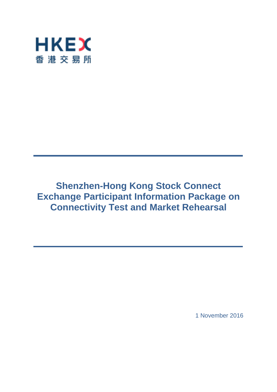

# **Shenzhen-Hong Kong Stock Connect Exchange Participant Information Package on Connectivity Test and Market Rehearsal**

1 November 2016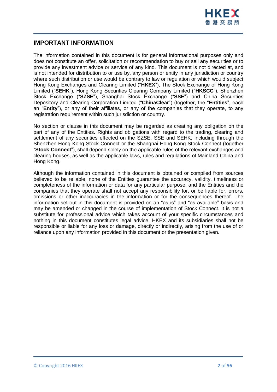

# **IMPORTANT INFORMATION**

The information contained in this document is for general informational purposes only and does not constitute an offer, solicitation or recommendation to buy or sell any securities or to provide any investment advice or service of any kind. This document is not directed at, and is not intended for distribution to or use by, any person or entity in any jurisdiction or country where such distribution or use would be contrary to law or regulation or which would subject Hong Kong Exchanges and Clearing Limited ("**HKEX**"), The Stock Exchange of Hong Kong Limited ("**SEHK**"), Hong Kong Securities Clearing Company Limited ("**HKSCC**"), Shenzhen Stock Exchange ("**SZSE**"), Shanghai Stock Exchange ("**SSE**") and China Securities Depository and Clearing Corporation Limited ("**ChinaClear**") (together, the "**Entities**", each an "**Entity**"), or any of their affiliates, or any of the companies that they operate, to any registration requirement within such jurisdiction or country.

No section or clause in this document may be regarded as creating any obligation on the part of any of the Entities. Rights and obligations with regard to the trading, clearing and settlement of any securities effected on the SZSE, SSE and SEHK, including through the Shenzhen-Hong Kong Stock Connect or the Shanghai-Hong Kong Stock Connect (together "**Stock Connect**"), shall depend solely on the applicable rules of the relevant exchanges and clearing houses, as well as the applicable laws, rules and regulations of Mainland China and Hong Kong.

Although the information contained in this document is obtained or compiled from sources believed to be reliable, none of the Entities guarantee the accuracy, validity, timeliness or completeness of the information or data for any particular purpose, and the Entities and the companies that they operate shall not accept any responsibility for, or be liable for, errors, omissions or other inaccuracies in the information or for the consequences thereof. The information set out in this document is provided on an "as is" and "as available" basis and may be amended or changed in the course of implementation of Stock Connect. It is not a substitute for professional advice which takes account of your specific circumstances and nothing in this document constitutes legal advice. HKEX and its subsidiaries shall not be responsible or liable for any loss or damage, directly or indirectly, arising from the use of or reliance upon any information provided in this document or the presentation given.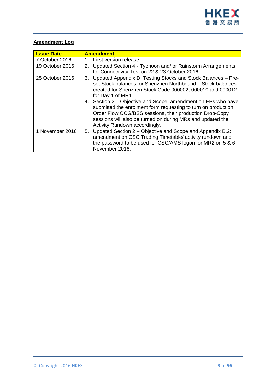

# **Amendment Log**

| <b>Issue Date</b> | <b>Amendment</b>                                                                                                                                                                                                                                                                                                                                                                                                                                                           |
|-------------------|----------------------------------------------------------------------------------------------------------------------------------------------------------------------------------------------------------------------------------------------------------------------------------------------------------------------------------------------------------------------------------------------------------------------------------------------------------------------------|
| 7 October 2016    | First version release<br>1.                                                                                                                                                                                                                                                                                                                                                                                                                                                |
| 19 October 2016   | 2. Updated Section 4 - Typhoon and/ or Rainstorm Arrangements<br>for Connectivity Test on 22 & 23 October 2016                                                                                                                                                                                                                                                                                                                                                             |
| 25 October 2016   | 3. Updated Appendix D: Testing Stocks and Stock Balances - Pre-<br>set Stock balances for Shenzhen Northbound - Stock balances<br>created for Shenzhen Stock Code 000002, 000010 and 000012<br>for Day 1 of MR1<br>4. Section 2 – Objective and Scope: amendment on EPs who have<br>submitted the enrolment form requesting to turn on production<br>Order Flow OCG/BSS sessions, their production Drop-Copy<br>sessions will also be turned on during MRs and updated the |
|                   | Activity Rundown accordingly.                                                                                                                                                                                                                                                                                                                                                                                                                                              |
| 1 November 2016   | 5. Updated Section 2 – Objective and Scope and Appendix B.2:<br>amendment on CSC Trading Timetable/ activity rundown and<br>the password to be used for CSC/AMS logon for MR2 on 5 & 6<br>November 2016.                                                                                                                                                                                                                                                                   |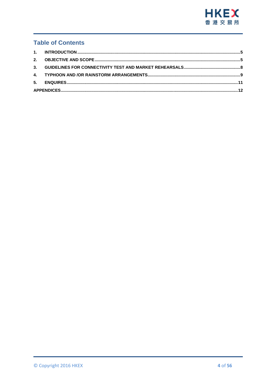

# **Table of Contents**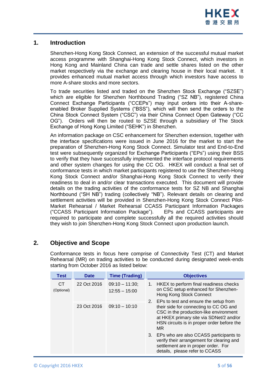

## <span id="page-4-0"></span>**1. Introduction**

Shenzhen-Hong Kong Stock Connect, an extension of the successful mutual market access programme with Shanghai-Hong Kong Stock Connect, which investors in Hong Kong and Mainland China can trade and settle shares listed on the other market respectively via the exchange and clearing house in their local market. It provides enhanced mutual market access through which investors have access to more A-share stocks and more sectors.

To trade securities listed and traded on the Shenzhen Stock Exchange ("SZSE") which are eligible for Shenzhen Northbound Trading ("SZ NB"), registered China Connect Exchange Participants ("CCEPs") may input orders into their A-shareenabled Broker Supplied Systems ("BSS"), which will then send the orders to the China Stock Connect System ("CSC") via their China Connect Open Gateway ("CC OG"). Orders will then be routed to SZSE through a subsidiary of The Stock Exchange of Hong Kong Limited ("SEHK") in Shenzhen.

An information package on CSC enhancement for Shenzhen extension, together with the interface specifications were issued in June 2016 for the market to start the preparation of Shenzhen-Hong Kong Stock Connect. Simulator test and End-to-End test were subsequently organized for Exchange Participants ("EPs") using their BSS to verify that they have successfully implemented the interface protocol requirements and other system changes for using the CC OG. HKEX will conduct a final set of conformance tests in which market participants registered to use the Shenzhen-Hong Kong Stock Connect and/or Shanghai-Hong Kong Stock Connect to verify their readiness to deal in and/or clear transactions executed. This document will provide details on the trading activities of the conformance tests for SZ NB and Shanghai Northbound ("SH NB") trading (collectively "NB"). Relevant details on clearing and settlement activities will be provided in Shenzhen-Hong Kong Stock Connect Pilot-Market Rehearsal / Market Rehearsal CCASS Participant Information Packages ("CCASS Participant Information Package"). EPs and CCASS participants are required to participate and complete successfully all the required activities should they wish to join Shenzhen-Hong Kong Stock Connect upon production launch.

# <span id="page-4-1"></span>**2. Objective and Scope**

Conformance tests in focus here comprise of Connectivity Test (CT) and Market Rehearsal (MR) on trading activities to be conducted during designated week-ends starting from October 2016 as listed below:

| Test                    | <b>Date</b> | <b>Time (Trading)</b>                                                                                                                                           | <b>Objectives</b>                                                                                                                                                                                                           |
|-------------------------|-------------|-----------------------------------------------------------------------------------------------------------------------------------------------------------------|-----------------------------------------------------------------------------------------------------------------------------------------------------------------------------------------------------------------------------|
| <b>CT</b><br>(Optional) | 22 Oct 2016 | $09:10 - 11:30$ ;<br>$12:55 - 15:00$                                                                                                                            | HKEX to perform final readiness checks<br>1.<br>on CSC setup enhanced for Shenzhen-<br>Hong Kong Stock Connect                                                                                                              |
|                         | 23 Oct 2016 | $09:10 - 10:10$                                                                                                                                                 | 2. EPs to test and ensure the setup from<br>their side for connecting to CC OG and<br>CSC in the production-like environment<br>at HKEX primary site via SDNet/2 and/or<br>HSN circuits is in proper order before the<br>MR |
|                         |             | 3. EPs who are also CCASS participants to<br>verify their arrangement for clearing and<br>settlement are in proper order. For<br>details, please refer to CCASS |                                                                                                                                                                                                                             |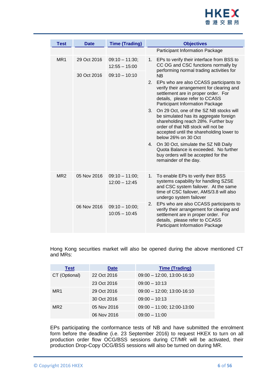

| <b>Test</b>     | <b>Date</b>                                                                         | <b>Time (Trading)</b>                                                                                                                                        | <b>Objectives</b>                                                                                                                                                                                                                       |
|-----------------|-------------------------------------------------------------------------------------|--------------------------------------------------------------------------------------------------------------------------------------------------------------|-----------------------------------------------------------------------------------------------------------------------------------------------------------------------------------------------------------------------------------------|
|                 |                                                                                     |                                                                                                                                                              | Participant Information Package                                                                                                                                                                                                         |
| MR <sub>1</sub> | 29 Oct 2016<br>$09:10 - 11:30$<br>1.<br>$12:55 - 15:00$                             | EPs to verify their interface from BSS to<br>CC OG and CSC functions normally by<br>performing normal trading activities for                                 |                                                                                                                                                                                                                                         |
|                 | 30 Oct 2016                                                                         | $09:10 - 10:10$                                                                                                                                              | <b>NB</b>                                                                                                                                                                                                                               |
|                 |                                                                                     |                                                                                                                                                              | 2.<br>EPs who are also CCASS participants to<br>verify their arrangement for clearing and<br>settlement are in proper order. For<br>details, please refer to CCASS<br><b>Participant Information Package</b>                            |
|                 |                                                                                     |                                                                                                                                                              | On 29 Oct, one of the SZ NB stocks will<br>3.<br>be simulated has its aggregate foreign<br>shareholding reach 28%. Further buy<br>order of that NB stock will not be<br>accepted until the shareholding lower to<br>below 26% on 30 Oct |
|                 |                                                                                     |                                                                                                                                                              | On 30 Oct, simulate the SZ NB Daily<br>4.<br>Quota Balance is exceeded. No further<br>buy orders will be accepted for the<br>remainder of the day.                                                                                      |
| MR <sub>2</sub> | 05 Nov 2016<br>$09:10 - 11:00;$<br>1.<br>$12:00 - 12:45$<br>undergo system failover | To enable EPs to verify their BSS<br>systems capability for handling SZSE<br>and CSC system failover. At the same<br>time of CSC failover, AMS/3.8 will also |                                                                                                                                                                                                                                         |
|                 | 06 Nov 2016                                                                         | $09:10 - 10:00;$<br>$10:05 - 10:45$                                                                                                                          | EPs who are also CCASS participants to<br>2.<br>verify their arrangement for clearing and<br>settlement are in proper order. For<br>details, please refer to CCASS<br>Participant Information Package                                   |

Hong Kong securities market will also be opened during the above mentioned CT and MRs:

| <b>Test</b>     | <b>Date</b> | <b>Time (Trading)</b>          |
|-----------------|-------------|--------------------------------|
| CT (Optional)   | 22 Oct 2016 | $09:00 - 12:00, 13:00 - 16:10$ |
|                 | 23 Oct 2016 | $09:00 - 10:13$                |
| MR <sub>1</sub> | 29 Oct 2016 | $09:00 - 12:00$ ; 13:00-16:10  |
|                 | 30 Oct 2016 | $09:00 - 10:13$                |
| MR <sub>2</sub> | 05 Nov 2016 | $09:00 - 11:00$ ; 12:00-13:00  |
|                 | 06 Nov 2016 | $09:00 - 11:00$                |

EPs participating the conformance tests of NB and have submitted the enrolment form before the deadline (i.e. 23 September 2016) to request HKEX to turn on all production order flow OCG/BSS sessions during CT/MR will be activated, their production Drop-Copy OCG/BSS sessions will also be turned on during MR.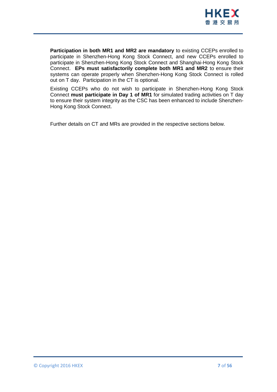

**Participation in both MR1 and MR2 are mandatory** to existing CCEPs enrolled to participate in Shenzhen-Hong Kong Stock Connect, and new CCEPs enrolled to participate in Shenzhen-Hong Kong Stock Connect and Shanghai-Hong Kong Stock Connect. **EPs must satisfactorily complete both MR1 and MR2** to ensure their systems can operate properly when Shenzhen-Hong Kong Stock Connect is rolled out on T day. Participation in the CT is optional.

Existing CCEPs who do not wish to participate in Shenzhen-Hong Kong Stock Connect **must participate in Day 1 of MR1** for simulated trading activities on T day to ensure their system integrity as the CSC has been enhanced to include Shenzhen-Hong Kong Stock Connect.

Further details on CT and MRs are provided in the respective sections below.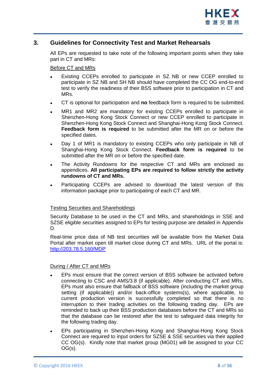

## <span id="page-7-0"></span>**3. Guidelines for Connectivity Test and Market Rehearsals**

All EPs are requested to take note of the following important points when they take part in CT and MRs:

## Before CT and MRs

- Existing CCEPs enrolled to participate in SZ NB or new CCEP enrolled to participate in SZ NB and SH NB should have completed the CC OG end-to-end test to verify the readiness of their BSS software prior to participation in CT and MRs.
- CT is optional for participation and **no** feedback form is required to be submitted.
- MR1 and MR2 are mandatory for existing CCEPs enrolled to participate in Shenzhen-Hong Kong Stock Connect or new CCEP enrolled to participate in Shenzhen-Hong Kong Stock Connect and Shanghai-Hong Kong Stock Connect. **Feedback form is required** to be submitted after the MR on or before the specified dates.
- Day 1 of MR1 is mandatory to existing CCEPs who only participate in NB of Shanghai-Hong Kong Stock Connect. **Feedback form is required** to be submitted after the MR on or before the specified date.
- The Activity Rundowns for the respective CT and MRs are enclosed as appendices. **All participating EPs are required to follow strictly the activity rundowns of CT and MRs.**
- Participating CCEPs are advised to download the latest version of this information package prior to participating of each CT and MR.

## Testing Securities and Shareholdings

Security Database to be used in the CT and MRs, and shareholdings in SSE and SZSE eligible securities assigned to EPs for testing purpose are detailed in Appendix D.

Real-time price data of NB test securities will be available from the Market Data Portal after market open till market close during CT and MRs. URL of the portal is: <http://203.78.5.160/MDP>

## During / After CT and MRs

- EPs must ensure that the correct version of BSS software be activated before connecting to CSC and AMS/3.8 (if applicable). After conducting CT and MRs, EPs must also ensure that fallback of BSS software (including the market group setting (if applicable)) and/or back-office systems(s), where applicable, to current production version is successfully completed so that there is no interruption to their trading activities on the following trading day. EPs are reminded to back up their BSS production databases before the CT and MRs so that the database can be restored after the test to safeguard data integrity for the following trading day.
- EPs participating in Shenzhen-Hong Kong and Shanghai-Hong Kong Stock Connect are required to input orders for SZSE & SSE securities via their applied CC OG(s). Kindly note that market group (MG01) will be assigned to your CC OG(s).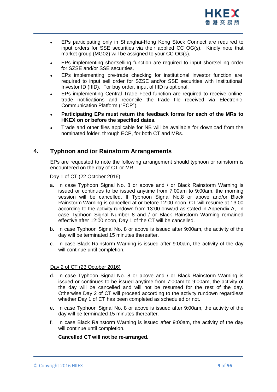

- EPs participating only in Shanghai-Hong Kong Stock Connect are required to input orders for SSE securities via their applied CC OG(s). Kindly note that market group (MG02) will be assigned to your CC OG(s).
- EPs implementing shortselling function are required to input shortselling order for SZSE and/or SSE securities.
- EPs implementing pre-trade checking for institutional investor function are required to input sell order for SZSE and/or SSE securities with Institutional Investor ID (IIID). For buy order, input of IIID is optional.
- EPs implementing Central Trade Feed function are required to receive online trade notifications and reconcile the trade file received via Electronic Communication Platform ("ECP").
- **Participating EPs must return the feedback forms for each of the MRs to HKEX on or before the specified dates.**
- Trade and other files applicable for NB will be available for download from the nominated folder, through ECP, for both CT and MRs.

# <span id="page-8-0"></span>**4. Typhoon and /or Rainstorm Arrangements**

EPs are requested to note the following arrangement should typhoon or rainstorm is encountered on the day of CT or MR.

## Day 1 of CT (22 October 2016)

- a. In case Typhoon Signal No. 8 or above and / or Black Rainstorm Warning is issued or continues to be issued anytime from 7:00am to 9:00am, the morning session will be cancelled. If Typhoon Signal No.8 or above and/or Black Rainstorm Warning is cancelled at or before 12:00 noon, CT will resume at 13:00 according to the activity rundown from 13:00 onward as stated in Appendix A, In case Typhoon Signal Number 8 and / or Black Rainstorm Warning remained effective after 12:00 noon, Day 1 of the CT will be cancelled.
- b. In case Typhoon Signal No. 8 or above is issued after 9:00am, the activity of the day will be terminated 15 minutes thereafter.
- c. In case Black Rainstorm Warning is issued after 9:00am, the activity of the day will continue until completion.

## Day 2 of CT (23 October 2016)

- d. In case Typhoon Signal No. 8 or above and / or Black Rainstorm Warning is issued or continues to be issued anytime from 7:00am to 9:00am, the activity of the day will be cancelled and will not be resumed for the rest of the day. Otherwise Day 2 of CT will proceed according to the activity rundown regardless whether Day 1 of CT has been completed as scheduled or not.
- e. In case Typhoon Signal No. 8 or above is issued after 9:00am, the activity of the day will be terminated 15 minutes thereafter.
- f. In case Black Rainstorm Warning is issued after 9:00am, the activity of the day will continue until completion.

## **Cancelled CT will not be re-arranged.**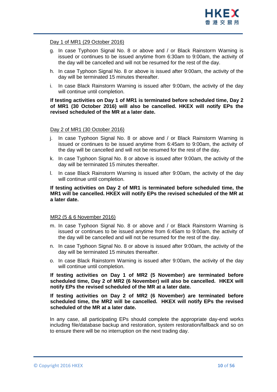

## Day 1 of MR1 (29 October 2016)

- g. In case Typhoon Signal No. 8 or above and / or Black Rainstorm Warning is issued or continues to be issued anytime from 6:30am to 9:00am, the activity of the day will be cancelled and will not be resumed for the rest of the day.
- h. In case Typhoon Signal No. 8 or above is issued after 9:00am, the activity of the day will be terminated 15 minutes thereafter.
- i. In case Black Rainstorm Warning is issued after 9:00am, the activity of the day will continue until completion.

## **If testing activities on Day 1 of MR1 is terminated before scheduled time, Day 2 of MR1 (30 October 2016) will also be cancelled. HKEX will notify EPs the revised scheduled of the MR at a later date.**

#### Day 2 of MR1 (30 October 2016)

- j. In case Typhoon Signal No. 8 or above and / or Black Rainstorm Warning is issued or continues to be issued anytime from 6:45am to 9:00am, the activity of the day will be cancelled and will not be resumed for the rest of the day.
- k. In case Typhoon Signal No. 8 or above is issued after 9:00am, the activity of the day will be terminated 15 minutes thereafter.
- l. In case Black Rainstorm Warning is issued after 9:00am, the activity of the day will continue until completion.

## **If testing activities on Day 2 of MR1 is terminated before scheduled time, the MR1 will be cancelled. HKEX will notify EPs the revised scheduled of the MR at a later date.**

## MR2 (5 & 6 November 2016)

- m. In case Typhoon Signal No. 8 or above and / or Black Rainstorm Warning is issued or continues to be issued anytime from 6:45am to 9:00am, the activity of the day will be cancelled and will not be resumed for the rest of the day.
- n. In case Typhoon Signal No. 8 or above is issued after 9:00am, the activity of the day will be terminated 15 minutes thereafter.
- o. In case Black Rainstorm Warning is issued after 9:00am, the activity of the day will continue until completion.

**If testing activities on Day 1 of MR2 (5 November) are terminated before scheduled time, Day 2 of MR2 (6 November) will also be cancelled. HKEX will notify EPs the revised scheduled of the MR at a later date.**

**If testing activities on Day 2 of MR2 (6 November) are terminated before scheduled time, the MR2 will be cancelled. HKEX will notify EPs the revised scheduled of the MR at a later date.** 

In any case, all participating EPs should complete the appropriate day-end works including file/database backup and restoration, system restoration/fallback and so on to ensure there will be no interruption on the next trading day.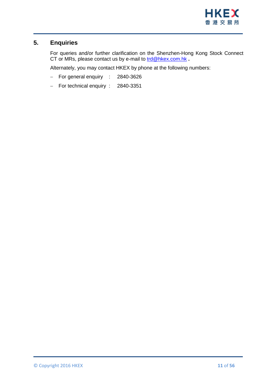

# <span id="page-10-0"></span>**5. Enquiries**

For queries and/or further clarification on the Shenzhen-Hong Kong Stock Connect CT or MRs, please contact us by e-mail to [trd@hkex.com.hk](mailto:trd@hkex.com.hk) **.**

Alternately, you may contact HKEX by phone at the following numbers:

- For general enquiry : 2840-3626
- For technical enquiry : 2840-3351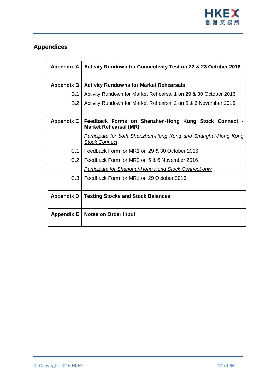

# <span id="page-11-0"></span>**Appendices**

| <b>Appendix A</b> | Activity Rundown for Connectivity Test on 22 & 23 October 2016                         |
|-------------------|----------------------------------------------------------------------------------------|
|                   |                                                                                        |
| <b>Appendix B</b> | <b>Activity Rundowns for Market Rehearsals</b>                                         |
| B.1               | Activity Rundown for Market Rehearsal 1 on 29 & 30 October 2016                        |
| B.2               | Activity Rundown for Market Rehearsal 2 on 5 & 6 November 2016                         |
|                   |                                                                                        |
| <b>Appendix C</b> | Feedback Forms on Shenzhen-Hong Kong Stock Connect -<br><b>Market Rehearsal (MR)</b>   |
|                   | Participate for both Shenzhen-Hong Kong and Shanghai-Hong Kong<br><b>Stock Connect</b> |
| C.1               | Feedback Form for MR1 on 29 & 30 October 2016                                          |
| C.2               | Feedback Form for MR2 on 5 & 6 November 2016                                           |
|                   | <b>Participate for Shanghai-Hong Kong Stock Connect only</b>                           |
| C.3               | Feedback Form for MR1 on 29 October 2016                                               |
|                   |                                                                                        |
| <b>Appendix D</b> | <b>Testing Stocks and Stock Balances</b>                                               |
|                   |                                                                                        |
| <b>Appendix E</b> | <b>Notes on Order Input</b>                                                            |
|                   |                                                                                        |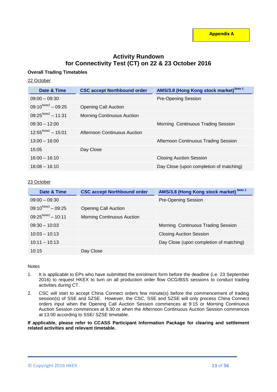# **Activity Rundown for Connectivity Test (CT) on 22 & 23 October 2016**

## **Overall Trading Timetables**

## 22 October

| Date & Time             | <b>CSC accept Northbound order</b> | AMS/3.8 (Hong Kong stock market) <sup>Note 1</sup> |
|-------------------------|------------------------------------|----------------------------------------------------|
| $09:00 - 09:30$         |                                    | <b>Pre-Opening Session</b>                         |
| $09:10^{Note2} - 09:25$ | <b>Opening Call Auction</b>        |                                                    |
| $09:25^{Note2} - 11:31$ | <b>Morning Continuous Auction</b>  |                                                    |
| $09:30 - 12:00$         |                                    | Morning Continuous Trading Session                 |
| $12:55^{Note2} - 15:01$ | Afternoon Continuous Auction       |                                                    |
| $13:00 - 16:00$         |                                    | Afternoon Continuous Trading Session               |
| 15:05                   | Day Close                          |                                                    |
| $16:00 - 16:10$         |                                    | <b>Closing Auction Session</b>                     |
| $16:08 - 16:10$         |                                    | Day Close (upon completion of matching)            |

#### 23 October

| Date & Time                    | <b>CSC accept Northbound order</b> | AMS/3.8 (Hong Kong stock market) Note 1 |
|--------------------------------|------------------------------------|-----------------------------------------|
| $09:00 - 09:30$                |                                    | <b>Pre-Opening Session</b>              |
| $09:10^{Note2} - 09:25$        | Opening Call Auction               |                                         |
| $09:25^{\text{Note2}} - 10:11$ | <b>Morning Continuous Auction</b>  |                                         |
| $09:30 - 10:03$                |                                    | Morning Continuous Trading Session      |
| $10:03 - 10:13$                |                                    | <b>Closing Auction Session</b>          |
| $10:11 - 10:13$                |                                    | Day Close (upon completion of matching) |
| 10:15                          | Day Close                          |                                         |

#### **Notes**

- 1. It is applicable to EPs who have submitted the enrolment form before the deadline (i.e. 23 September 2016) to request HKEX to turn on all production order flow OCG/BSS sessions to conduct trading activities during CT.
- 2. CSC will start to accept China Connect orders few minute(s) before the commencement of trading session(s) of SSE and SZSE. However, the CSC, SSE and SZSE will only process China Connect orders input when the Opening Call Auction Session commences at 9:15 or Morning Continuous Auction Session commences at 9:30 or when the Afternoon Continuous Auction Session commences at 13:00 according to SSE/ SZSE timetable.

**If applicable, please refer to CCASS Participant Information Package for clearing and settlement related activities and relevant timetable.**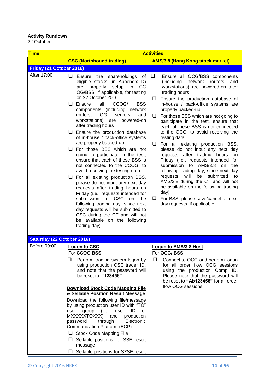## **Activity Rundown** <u>22 October</u>

| <b>Time</b>                       | <b>Activities</b>                                                                                                                                                                                                                                                                                                                                                                                                                                                                                                                                                                                                                                                                                                                                                                                                                                                                                                                                                                                                    |                                                                                                                                                                                                                                                                                                                                                                                                                                                                                                                                                                                                                                                                                                                                                                                                                                                                                                        |  |
|-----------------------------------|----------------------------------------------------------------------------------------------------------------------------------------------------------------------------------------------------------------------------------------------------------------------------------------------------------------------------------------------------------------------------------------------------------------------------------------------------------------------------------------------------------------------------------------------------------------------------------------------------------------------------------------------------------------------------------------------------------------------------------------------------------------------------------------------------------------------------------------------------------------------------------------------------------------------------------------------------------------------------------------------------------------------|--------------------------------------------------------------------------------------------------------------------------------------------------------------------------------------------------------------------------------------------------------------------------------------------------------------------------------------------------------------------------------------------------------------------------------------------------------------------------------------------------------------------------------------------------------------------------------------------------------------------------------------------------------------------------------------------------------------------------------------------------------------------------------------------------------------------------------------------------------------------------------------------------------|--|
|                                   | <b>CSC (Northbound trading)</b>                                                                                                                                                                                                                                                                                                                                                                                                                                                                                                                                                                                                                                                                                                                                                                                                                                                                                                                                                                                      | <b>AMS/3.8 (Hong Kong stock market)</b>                                                                                                                                                                                                                                                                                                                                                                                                                                                                                                                                                                                                                                                                                                                                                                                                                                                                |  |
| Friday (21 October 2016)          |                                                                                                                                                                                                                                                                                                                                                                                                                                                                                                                                                                                                                                                                                                                                                                                                                                                                                                                                                                                                                      |                                                                                                                                                                                                                                                                                                                                                                                                                                                                                                                                                                                                                                                                                                                                                                                                                                                                                                        |  |
| After 17:00                       | ❏<br>Ensure the shareholdings<br>ot<br>eligible stocks (in Appendix D)<br>properly setup<br>in<br><sub>CC</sub><br>are<br>OG/BSS, if applicable, for testing<br>on 22 October 2016<br>Ensure<br>all<br><b>BSS</b><br>ப<br>CCOG/<br>components (including network<br>OG.<br>routers.<br>servers<br>and<br>workstations)<br>powered-on<br>are<br>after trading hours<br>$\Box$ Ensure the production database<br>of in-house / back-office systems<br>are properly backed-up<br>For those BSS which are not<br>ப<br>going to participate in the test,<br>ensure that each of these BSS is<br>not connected to the CCOG, to<br>avoid receiving the testing data<br>$\Box$ For all existing production BSS,<br>please do not input any next day<br>requests after trading hours on<br>Friday (i.e., requests intended for<br>submission to CSC<br>the<br>on<br>following trading day, since next<br>day requests will be submitted to<br>CSC during the CT and will not<br>be available on the following<br>trading day) | $\Box$<br>Ensure all OCG/BSS components<br>(including<br>network<br>routers<br>and<br>workstations) are powered-on after<br>trading hours<br>$\Box$ Ensure the production database of<br>in-house / back-office systems are<br>properly backed-up<br>For those BSS which are not going to<br>u.<br>participate in the test, ensure that<br>each of these BSS is not connected<br>to the OCG, to avoid receiving the<br>testing data<br>$\Box$<br>For all existing production BSS,<br>please do not input any next day<br>requests after trading hours<br>on<br>Friday (i.e., requests intended for<br>to AMS/3.8<br>submission<br>the<br>on<br>following trading day, since next day<br>will<br>be<br>submitted<br>requests<br>to<br>AMS/3.8 during the CT and will not<br>be available on the following trading<br>day)<br>$\Box$ For BSS, please save/cancel all next<br>day requests, if applicable |  |
| <b>Saturday (22 October 2016)</b> |                                                                                                                                                                                                                                                                                                                                                                                                                                                                                                                                                                                                                                                                                                                                                                                                                                                                                                                                                                                                                      |                                                                                                                                                                                                                                                                                                                                                                                                                                                                                                                                                                                                                                                                                                                                                                                                                                                                                                        |  |
| Before 09:00                      | <b>Logon to CSC</b><br>For CCOG BSS:<br>❏<br>Perform trading system logon by<br>using production CSC trader ID,<br>and note that the password will<br>be reset to "123456"<br><b>Download Stock Code Mapping File</b><br>& Sellable Position Result Message<br>Download the following file/message<br>by using production user ID with "TO"<br>user<br>group<br>(i.e.<br>ID<br>user<br>οf<br>MXXXXXTOXXX)<br>and<br>production<br>through<br>Electronic<br>password<br>Communication Platform (ECP)<br>Stock Code Mapping File<br>u<br>Sellable positions for SSE result<br>⊔<br>message<br>Sellable positions for SZSE result<br>⊔                                                                                                                                                                                                                                                                                                                                                                                  | <b>Logon to AMS/3.8 Host</b><br>For OCG/BSS:<br>⊔<br>Connect to OCG and perform logon<br>for all order flow OCG sessions<br>using the production Comp ID.<br>Please note that the password will<br>be reset to "Ab123456" for all order<br>flow OCG sessions.                                                                                                                                                                                                                                                                                                                                                                                                                                                                                                                                                                                                                                          |  |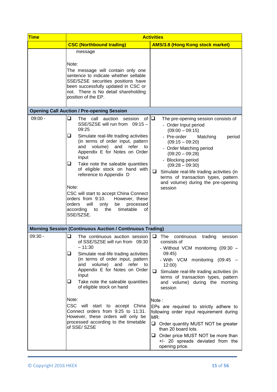| <b>Time</b> | <b>Activities</b>                                                                                                                                                                                                                                                                                                                                                                                                                                                                                                                                                  |                                                                                                                                                                                                                                                                                                                                                                                |  |
|-------------|--------------------------------------------------------------------------------------------------------------------------------------------------------------------------------------------------------------------------------------------------------------------------------------------------------------------------------------------------------------------------------------------------------------------------------------------------------------------------------------------------------------------------------------------------------------------|--------------------------------------------------------------------------------------------------------------------------------------------------------------------------------------------------------------------------------------------------------------------------------------------------------------------------------------------------------------------------------|--|
|             | <b>CSC (Northbound trading)</b>                                                                                                                                                                                                                                                                                                                                                                                                                                                                                                                                    | <b>AMS/3.8 (Hong Kong stock market)</b>                                                                                                                                                                                                                                                                                                                                        |  |
|             | message<br>Note:<br>The message will contain only one<br>sentence to indicate whether sellable<br>SSE/SZSE securities positions have<br>been successfully updated in CSC or<br>not. There is No detail shareholding<br>position of the EP.                                                                                                                                                                                                                                                                                                                         |                                                                                                                                                                                                                                                                                                                                                                                |  |
|             | <b>Opening Call Auction / Pre-opening Session</b>                                                                                                                                                                                                                                                                                                                                                                                                                                                                                                                  |                                                                                                                                                                                                                                                                                                                                                                                |  |
| $09:00 -$   | ❏<br>session of $\Box$<br>The call auction<br>SSE/SZSE will run from 09:15 -<br>09:25<br>⊔<br>Simulate real-life trading activities<br>(in terms of order input, pattern<br>volume)<br>and<br>and<br>refer<br>to<br>Appendix E for Notes on Order<br>Input<br>❏<br>Take note the saleable quantities<br>of eligible stock on hand with<br>reference to Appendix D<br>Note:<br>CSC will start to accept China Connect<br>orders from 9:10.<br>However, these<br>orders<br>will<br>processed<br>only<br>be<br>the<br>timetable<br>according<br>to<br>οf<br>SSE/SZSE. | The pre-opening session consists of<br>- Order Input period<br>$(09:00 - 09:15)$<br>- Pre-order<br>period<br>Matching<br>$(09:15 - 09:20)$<br>- Order Matching period<br>$(09:20 - 09:28)$<br>- Blocking period<br>$(09:28 - 09:30)$<br>□<br>Simulate real-life trading activities (in<br>terms of transaction types, pattern<br>and volume) during the pre-opening<br>session |  |
|             | <b>Morning Session (Continuous Auction / Continuous Trading)</b>                                                                                                                                                                                                                                                                                                                                                                                                                                                                                                   |                                                                                                                                                                                                                                                                                                                                                                                |  |
| $09:30 -$   | ❏<br>The continuous auction session<br>of SSE/SZSE will run from 09:30<br>$-11:30$<br>❏<br>Simulate real-life trading activities<br>(in terms of order input, pattern<br>and volume) and refer<br>to<br>Appendix E for Notes on Order<br>Input<br>u<br>Take note the saleable quantities<br>of eligible stock on hand                                                                                                                                                                                                                                              | ❏<br>The<br>continuous<br>trading<br>session<br>consists of<br>- Without VCM monitoring (09:30 -<br>09:45)<br>- With VCM monitoring (09:45 -<br>12:00)<br>⊔<br>Simulate real-life trading activities (in<br>terms of transaction types, pattern<br>and volume) during the morning<br>session                                                                                   |  |
|             | Note:<br>CSC will start to accept China<br>Connect orders from 9:25 to 11:31.<br>However, these orders will only be<br>processed according to the timetable<br>of SSE/SZSE                                                                                                                                                                                                                                                                                                                                                                                         | Note:<br>EPs are required to strictly adhere to<br>following order input requirement during<br>MR:<br>Order quantity MUST NOT be greater<br>than 20 board lots.<br>Order price MUST NOT be more than<br>u<br>+/- 20 spreads deviated from the<br>opening price.                                                                                                                |  |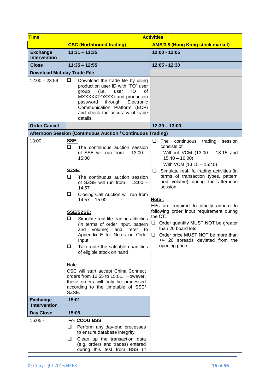| <b>Time</b>                            | <b>Activities</b>                                                                                                                                                                                                                                                                                                                                                                                                                                                                                                                 |                                                                                                                                                                                                                                                                                                                                                                                                                                                                                                                                                                             |  |
|----------------------------------------|-----------------------------------------------------------------------------------------------------------------------------------------------------------------------------------------------------------------------------------------------------------------------------------------------------------------------------------------------------------------------------------------------------------------------------------------------------------------------------------------------------------------------------------|-----------------------------------------------------------------------------------------------------------------------------------------------------------------------------------------------------------------------------------------------------------------------------------------------------------------------------------------------------------------------------------------------------------------------------------------------------------------------------------------------------------------------------------------------------------------------------|--|
|                                        | <b>CSC (Northbound trading)</b>                                                                                                                                                                                                                                                                                                                                                                                                                                                                                                   | <b>AMS/3.8 (Hong Kong stock market)</b>                                                                                                                                                                                                                                                                                                                                                                                                                                                                                                                                     |  |
| <b>Exchange</b><br><b>Intervention</b> | $11:31 - 11:35$                                                                                                                                                                                                                                                                                                                                                                                                                                                                                                                   | 12:00 - 12:05                                                                                                                                                                                                                                                                                                                                                                                                                                                                                                                                                               |  |
| <b>Close</b>                           | $11:35 - 12:55$                                                                                                                                                                                                                                                                                                                                                                                                                                                                                                                   | 12:05 - 12:30                                                                                                                                                                                                                                                                                                                                                                                                                                                                                                                                                               |  |
| <b>Download Mid-day Trade File</b>     |                                                                                                                                                                                                                                                                                                                                                                                                                                                                                                                                   |                                                                                                                                                                                                                                                                                                                                                                                                                                                                                                                                                                             |  |
| $12:00 - 23:59$                        | $\Box$<br>Download the trade file by using<br>production user ID with "TO" user<br>(i.e.<br>ID<br>0f<br>group<br>user<br>MXXXXXTOXXX) and production<br>password through<br>Electronic<br>Communication Platform (ECP)<br>and check the accuracy of trade<br>details.                                                                                                                                                                                                                                                             |                                                                                                                                                                                                                                                                                                                                                                                                                                                                                                                                                                             |  |
| <b>Order Cancel</b>                    |                                                                                                                                                                                                                                                                                                                                                                                                                                                                                                                                   | $12:30 - 13:00$                                                                                                                                                                                                                                                                                                                                                                                                                                                                                                                                                             |  |
|                                        | Afternoon Session (Continuous Auction / Continuous Trading)                                                                                                                                                                                                                                                                                                                                                                                                                                                                       |                                                                                                                                                                                                                                                                                                                                                                                                                                                                                                                                                                             |  |
| $13:00 -$                              | SSE:<br>❏<br>The continuous auction session<br>of SSE will run from<br>$13:00 -$<br>15:00<br>SZSE:<br>⊔.<br>The continuous auction session<br>of SZSE will run from<br>$13:00 -$<br>14:57<br>Closing Call Auction will run from<br>u.<br>$14:57 - 15:00$<br><b>SSE/SZSE:</b><br>❏<br>Simulate real-life trading activities<br>(in terms of order input, pattern<br>volume)<br>refer<br>and<br>and<br>to<br>Appendix E for Notes on Order<br>Input<br>❏<br>Take note the saleable quantities<br>of eligible stock on hand<br>Note: | ❏<br>The<br>continuous<br>trading<br>session<br>consists of<br>- Without VCM $(13:00 - 13:15$ and<br>$15:40 - 16:00$<br>- With VCM $(13:15 - 15:40)$<br>Simulate real-life trading activities (in<br>⊔<br>terms of transaction types, pattern<br>and volume) during the afternoon<br>session.<br>Note:<br>EPs are required to strictly adhere to<br>following order input requirement during<br>the CT:<br>$\Box$ Order quantity MUST NOT be greater<br>than 20 board lots.<br>Order price MUST NOT be more than<br>┕<br>+/- 20 spreads deviated from the<br>opening price. |  |
|                                        | CSC will start accept China Connect<br>orders from 12:55 to 15:01. However,<br>these orders will only be processed<br>according to the timetable of SSE/<br>SZSE.                                                                                                                                                                                                                                                                                                                                                                 |                                                                                                                                                                                                                                                                                                                                                                                                                                                                                                                                                                             |  |
| <b>Exchange</b><br><b>Intervention</b> | 15:01                                                                                                                                                                                                                                                                                                                                                                                                                                                                                                                             |                                                                                                                                                                                                                                                                                                                                                                                                                                                                                                                                                                             |  |
| <b>Day Close</b>                       | 15:05                                                                                                                                                                                                                                                                                                                                                                                                                                                                                                                             |                                                                                                                                                                                                                                                                                                                                                                                                                                                                                                                                                                             |  |
| $15:05 -$                              | For <b>CCOG BSS:</b><br>Perform any day-end processes<br>u<br>to ensure database integrity<br>u.<br>Clean up the transaction data<br>(e.g. orders and trades) entered<br>during this test from BSS (if                                                                                                                                                                                                                                                                                                                            |                                                                                                                                                                                                                                                                                                                                                                                                                                                                                                                                                                             |  |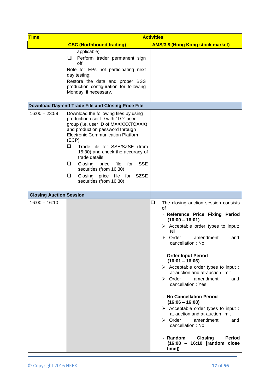| <b>Time</b>                    | <b>Activities</b>                                                                                                                                                                                                                                                                                                                                                                                                                           |                                                                                                                                                                                                                                                                                                                                                                                                                                                                                                                                                                                                                                                                                                                                                           |  |
|--------------------------------|---------------------------------------------------------------------------------------------------------------------------------------------------------------------------------------------------------------------------------------------------------------------------------------------------------------------------------------------------------------------------------------------------------------------------------------------|-----------------------------------------------------------------------------------------------------------------------------------------------------------------------------------------------------------------------------------------------------------------------------------------------------------------------------------------------------------------------------------------------------------------------------------------------------------------------------------------------------------------------------------------------------------------------------------------------------------------------------------------------------------------------------------------------------------------------------------------------------------|--|
|                                | <b>CSC (Northbound trading)</b>                                                                                                                                                                                                                                                                                                                                                                                                             | <b>AMS/3.8 (Hong Kong stock market)</b>                                                                                                                                                                                                                                                                                                                                                                                                                                                                                                                                                                                                                                                                                                                   |  |
|                                | applicable)<br>Perform trader permanent sign<br>⊔<br>off<br>Note for EPs not participating next<br>day testing:<br>Restore the data and proper BSS<br>production configuration for following<br>Monday, if necessary.                                                                                                                                                                                                                       |                                                                                                                                                                                                                                                                                                                                                                                                                                                                                                                                                                                                                                                                                                                                                           |  |
|                                | Download Day-end Trade File and Closing Price File                                                                                                                                                                                                                                                                                                                                                                                          |                                                                                                                                                                                                                                                                                                                                                                                                                                                                                                                                                                                                                                                                                                                                                           |  |
| $16:00 - 23:59$                | Download the following files by using<br>production user ID with "TO" user<br>group (i.e. user ID of MXXXXXTOXXX)<br>and production password through<br><b>Electronic Communication Platform</b><br>(ECP)<br>❏<br>Trade file for SSE/SZSE (from<br>15:30) and check the accuracy of<br>trade details<br>Closing price file for<br><b>SSE</b><br>┙<br>securities (from 16:30)<br>Closing price file for SZSE<br>❏<br>securities (from 16:30) |                                                                                                                                                                                                                                                                                                                                                                                                                                                                                                                                                                                                                                                                                                                                                           |  |
| <b>Closing Auction Session</b> |                                                                                                                                                                                                                                                                                                                                                                                                                                             |                                                                                                                                                                                                                                                                                                                                                                                                                                                                                                                                                                                                                                                                                                                                                           |  |
| $16:00 - 16:10$                |                                                                                                                                                                                                                                                                                                                                                                                                                                             | $\Box$<br>The closing auction session consists<br>of<br>- Reference Price Fixing Period<br>$(16:00 - 16:01)$<br>$\triangleright$ Acceptable order types to input:<br>Nil<br>$\triangleright$ Order<br>amendment<br>and<br>cancellation : No<br>- Order Input Period<br>$(16:01 - 16:06)$<br>$\triangleright$ Acceptable order types to input :<br>at-auction and at-auction limit<br>$\triangleright$ Order<br>amendment<br>and<br>cancellation: Yes<br>- No Cancellation Period<br>$(16:06 - 16:08)$<br>$\triangleright$ Acceptable order types to input :<br>at-auction and at-auction limit<br>$\triangleright$ Order<br>amendment<br>and<br>cancellation: No<br>- Random<br><b>Closing</b><br><b>Period</b><br>(16:08 - 16:10 [random close<br>time]) |  |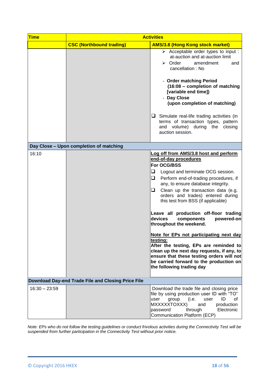| <b>Time</b>     | <b>Activities</b>                                  |                                                                                                                                                                                                                                                                                                                                                                                                                                                                                                                                                                                                                                                                                                                |
|-----------------|----------------------------------------------------|----------------------------------------------------------------------------------------------------------------------------------------------------------------------------------------------------------------------------------------------------------------------------------------------------------------------------------------------------------------------------------------------------------------------------------------------------------------------------------------------------------------------------------------------------------------------------------------------------------------------------------------------------------------------------------------------------------------|
|                 | <b>CSC (Northbound trading)</b>                    | <b>AMS/3.8 (Hong Kong stock market)</b>                                                                                                                                                                                                                                                                                                                                                                                                                                                                                                                                                                                                                                                                        |
|                 |                                                    | $\triangleright$ Acceptable order types to input :<br>at-auction and at-auction limit<br>$\triangleright$ Order<br>amendment<br>and<br>cancellation: No                                                                                                                                                                                                                                                                                                                                                                                                                                                                                                                                                        |
|                 |                                                    | - Order matching Period<br>$(16:08 -$ completion of matching<br>[variable end time])<br>- Day Close<br>(upon completion of matching)                                                                                                                                                                                                                                                                                                                                                                                                                                                                                                                                                                           |
|                 |                                                    | $\Box$ Simulate real-life trading activities (in<br>terms of transaction types, pattern<br>and volume) during the closing<br>auction session.                                                                                                                                                                                                                                                                                                                                                                                                                                                                                                                                                                  |
|                 | Day Close - Upon completion of matching            |                                                                                                                                                                                                                                                                                                                                                                                                                                                                                                                                                                                                                                                                                                                |
| 16:10           |                                                    | Log off from AMS/3.8 host and perform<br>end-of-day procedures<br>For OCG/BSS<br>❏<br>Logout and terminate OCG session.<br>❏.<br>Perform end-of-trading procedures, if<br>any, to ensure database integrity.<br>Clean up the transaction data (e.g.<br>orders and trades) entered during<br>this test from BSS (if applicable)<br>Leave all production off-floor trading<br>devices<br>components<br>powered-on<br>throughout the weekend.<br>Note for EPs not participating next day<br>testing:<br>After the testing, EPs are reminded to<br>clean up the next day requests, if any, to<br>ensure that these testing orders will not<br>be carried forward to the production on<br>the following trading day |
|                 | Download Day-end Trade File and Closing Price File |                                                                                                                                                                                                                                                                                                                                                                                                                                                                                                                                                                                                                                                                                                                |
| $16:30 - 23:59$ |                                                    | Download the trade file and closing price<br>file by using production user ID with "TO"<br>(i.e.<br>ID<br>user<br>group<br>user<br>οf<br>MXXXXXTOXXX)<br>production<br>and<br>through<br>Electronic<br>password<br>Communication Platform (ECP)                                                                                                                                                                                                                                                                                                                                                                                                                                                                |

*Note: EPs who do not follow the testing guidelines or conduct frivolous activities during the Connectivity Test will be suspended from further participation in the Connectivity Test without prior notice.*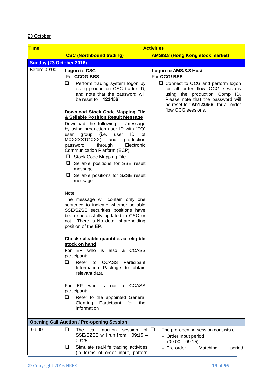## 23 October

| <b>Time</b>              | <b>Activities</b>                                                                                                                                                                                                                                                                                                                                                   |                                                                                                                                                                                           |
|--------------------------|---------------------------------------------------------------------------------------------------------------------------------------------------------------------------------------------------------------------------------------------------------------------------------------------------------------------------------------------------------------------|-------------------------------------------------------------------------------------------------------------------------------------------------------------------------------------------|
|                          | <b>CSC (Northbound trading)</b>                                                                                                                                                                                                                                                                                                                                     | <b>AMS/3.8 (Hong Kong stock market)</b>                                                                                                                                                   |
| Sunday (23 October 2016) |                                                                                                                                                                                                                                                                                                                                                                     |                                                                                                                                                                                           |
| Before 09:00             | <b>Logon to CSC</b><br>For CCOG BSS:                                                                                                                                                                                                                                                                                                                                | <b>Logon to AMS/3.8 Host</b><br>For OCG/BSS:                                                                                                                                              |
|                          | ❏<br>Perform trading system logon by<br>using production CSC trader ID,<br>and note that the password will<br>be reset to "123456"                                                                                                                                                                                                                                  | $\Box$ Connect to OCG and perform logon<br>for all order flow OCG sessions<br>using the production Comp ID.<br>Please note that the password will<br>be reset to "Ab123456" for all order |
|                          | <b>Download Stock Code Mapping File</b><br>& Sellable Position Result Message                                                                                                                                                                                                                                                                                       | flow OCG sessions.                                                                                                                                                                        |
|                          | Download the following file/message<br>by using production user ID with "TO"<br>group<br>(i.e.<br>ID<br>user<br>user<br>οf<br>MXXXXXTOXXX)<br>and<br>production<br>through<br>password<br>Electronic<br>Communication Platform (ECP)<br>Stock Code Mapping File<br>$\Box$ Sellable positions for SSE result<br>message<br>$\Box$ Sellable positions for SZSE result |                                                                                                                                                                                           |
|                          | message                                                                                                                                                                                                                                                                                                                                                             |                                                                                                                                                                                           |
|                          | Note:<br>The message will contain only one<br>sentence to indicate whether sellable<br>SSE/SZSE securities positions have<br>been successfully updated in CSC or<br>not. There is No detail shareholding<br>position of the EP.                                                                                                                                     |                                                                                                                                                                                           |
|                          | <b>Check saleable quantities of eligible</b><br>stock on hand<br>For EP who is also a CCASS<br>participant:<br>❏<br>Refer<br><b>CCASS</b><br>to<br>Participant<br>Information Package to obtain<br>relevant data                                                                                                                                                    |                                                                                                                                                                                           |
|                          | EP who is not a<br><b>CCASS</b><br>For<br>participant:                                                                                                                                                                                                                                                                                                              |                                                                                                                                                                                           |
|                          | ❏<br>Refer to the appointed General<br>Participant<br>for<br>Clearing<br>the<br>information                                                                                                                                                                                                                                                                         |                                                                                                                                                                                           |
|                          | <b>Opening Call Auction / Pre-opening Session</b>                                                                                                                                                                                                                                                                                                                   |                                                                                                                                                                                           |
| $09:00 -$                | $\Box$<br>of $\Box$<br>call<br>auction<br>The<br>session<br>SSE/SZSE will run from<br>$09:15 -$<br>09:25                                                                                                                                                                                                                                                            | The pre-opening session consists of<br>- Order Input period<br>$(09:00 - 09:15)$                                                                                                          |
|                          | Simulate real-life trading activities<br>u<br>(in terms of order input, pattern                                                                                                                                                                                                                                                                                     | - Pre-order<br>Matching<br>period                                                                                                                                                         |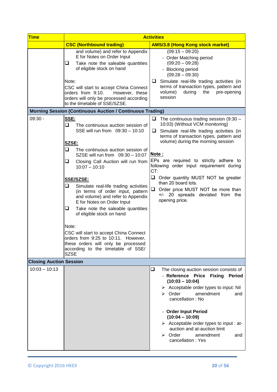| <b>Time</b>                    | <b>Activities</b>                                                                                                                                                                                                                                                                                                                                                                                                                                                                                                                                                                                                                                         |                                                                                                                                                                                                                                                                                                                                                                                                                                                                                                  |
|--------------------------------|-----------------------------------------------------------------------------------------------------------------------------------------------------------------------------------------------------------------------------------------------------------------------------------------------------------------------------------------------------------------------------------------------------------------------------------------------------------------------------------------------------------------------------------------------------------------------------------------------------------------------------------------------------------|--------------------------------------------------------------------------------------------------------------------------------------------------------------------------------------------------------------------------------------------------------------------------------------------------------------------------------------------------------------------------------------------------------------------------------------------------------------------------------------------------|
|                                | <b>CSC (Northbound trading)</b>                                                                                                                                                                                                                                                                                                                                                                                                                                                                                                                                                                                                                           | <b>AMS/3.8 (Hong Kong stock market)</b>                                                                                                                                                                                                                                                                                                                                                                                                                                                          |
|                                | and volume) and refer to Appendix<br>E for Notes on Order Input<br>Take note the saleable quantities<br>u.<br>of eligible stock on hand<br>Note:<br>CSC will start to accept China Connect<br>orders from 9:10.<br>However, these<br>orders will only be processed according<br>to the timetable of SSE/SZSE.                                                                                                                                                                                                                                                                                                                                             | $(09:15 - 09:20)$<br>- Order Matching period<br>$(09:20 - 09:28)$<br>- Blocking period<br>$(09:28 - 09:30)$<br>Simulate real-life trading activities (in<br>⊔<br>terms of transaction types, pattern and<br>volume)<br>during<br>the<br>pre-opening<br>session                                                                                                                                                                                                                                   |
|                                | <b>Morning Session (Continuous Auction / Continuous Trading)</b>                                                                                                                                                                                                                                                                                                                                                                                                                                                                                                                                                                                          |                                                                                                                                                                                                                                                                                                                                                                                                                                                                                                  |
| $09:30 -$                      | SSE:<br>❏<br>The continuous auction session of<br>SSE will run from 09:30 - 10:10<br>SZSE:<br>o.<br>The continuous auction session of<br>SZSE will run from 09:30 - 10:07<br>Closing Call Auction will run from<br>u.<br>$10:07 - 10:10$<br>SSE/SZSE:<br>Simulate real-life trading activities<br>⊔<br>(in terms of order input, pattern<br>and volume) and refer to Appendix<br>E for Notes on Order Input<br>Take note the saleable quantities<br>u<br>of eligible stock on hand<br>Note:<br>CSC will start to accept China Connect<br>orders from 9:25 to 10:11. However,<br>these orders will only be processed<br>according to the timetable of SSE/ | The continuous trading session $(9:30 -$<br>u<br>10:03) (Without VCM monitoring)<br>Simulate real-life trading activities (in<br>❏<br>terms of transaction types, pattern and<br>volume) during the morning session<br>Note:<br>EPs are required to strictly adhere to<br>following order input requirement during<br>CT:<br>❏<br>Order quantity MUST NOT be greater<br>than 20 board lots.<br>$\Box$<br>Order price MUST NOT be more than<br>+/- 20 spreads deviated from the<br>opening price. |
| <b>Closing Auction Session</b> | <b>SZSE</b>                                                                                                                                                                                                                                                                                                                                                                                                                                                                                                                                                                                                                                               |                                                                                                                                                                                                                                                                                                                                                                                                                                                                                                  |
| $10:03 - 10:13$                |                                                                                                                                                                                                                                                                                                                                                                                                                                                                                                                                                                                                                                                           | $\Box$<br>The closing auction session consists of<br>- Reference Price Fixing<br><b>Period</b><br>$(10:03 - 10:04)$<br>$\triangleright$ Acceptable order types to input: Nil<br>$\triangleright$ Order<br>amendment<br>and<br>cancellation: No<br>- Order Input Period<br>$(10:04 - 10:09)$<br>$\triangleright$ Acceptable order types to input : at-<br>auction and at-auction limit<br>$\triangleright$ Order<br>amendment<br>and<br>cancellation: Yes                                         |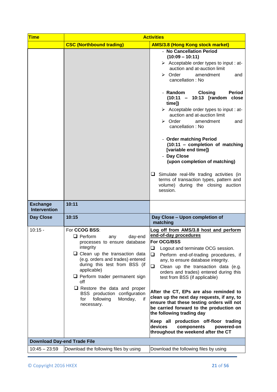| <b>Time</b>                            | <b>Activities</b>                                                                                                                                                                                                                                                                                                                                                                                   |                                                                                                                                                                                                                                                                                                                                                                                                                                                                                                                                                                                                                                                                                                                                                       |
|----------------------------------------|-----------------------------------------------------------------------------------------------------------------------------------------------------------------------------------------------------------------------------------------------------------------------------------------------------------------------------------------------------------------------------------------------------|-------------------------------------------------------------------------------------------------------------------------------------------------------------------------------------------------------------------------------------------------------------------------------------------------------------------------------------------------------------------------------------------------------------------------------------------------------------------------------------------------------------------------------------------------------------------------------------------------------------------------------------------------------------------------------------------------------------------------------------------------------|
|                                        | <b>CSC (Northbound trading)</b>                                                                                                                                                                                                                                                                                                                                                                     | <b>AMS/3.8 (Hong Kong stock market)</b>                                                                                                                                                                                                                                                                                                                                                                                                                                                                                                                                                                                                                                                                                                               |
|                                        |                                                                                                                                                                                                                                                                                                                                                                                                     | - No Cancellation Period<br>$(10:09 - 10:11)$<br>$\triangleright$ Acceptable order types to input : at-<br>auction and at-auction limit<br>$\triangleright$ Order<br>amendment<br>and<br>cancellation: No<br>- Random<br><b>Closing</b><br><b>Period</b><br>(10:11 - 10:13 [random close<br>time])<br>$\triangleright$ Acceptable order types to input : at-<br>auction and at-auction limit<br>$\triangleright$ Order<br>amendment<br>and<br>cancellation: No<br>- Order matching Period<br>(10:11 - completion of matching<br>[variable end time])<br>- Day Close<br>(upon completion of matching)<br>$\Box$ Simulate real-life trading activities (in<br>terms of transaction types, pattern and<br>volume) during the closing auction<br>session. |
| <b>Exchange</b><br><b>Intervention</b> | 10:11                                                                                                                                                                                                                                                                                                                                                                                               |                                                                                                                                                                                                                                                                                                                                                                                                                                                                                                                                                                                                                                                                                                                                                       |
| <b>Day Close</b>                       | 10:15                                                                                                                                                                                                                                                                                                                                                                                               | Day Close - Upon completion of<br>matching                                                                                                                                                                                                                                                                                                                                                                                                                                                                                                                                                                                                                                                                                                            |
| $10:15 -$                              | For CCOG BSS:<br>$\Box$ Perform<br>day-end<br>any<br>processes to ensure database<br>integrity<br>$\Box$ Clean up the transaction data<br>(e.g. orders and trades) entered<br>during this test from BSS (if<br>applicable)<br>$\Box$ Perform trader permanent sign<br>off<br>$\Box$ Restore the data and proper<br>BSS production configuration<br>for<br>following<br>Monday,<br>if.<br>necessary. | Log off from AMS/3.8 host and perform<br>end-of-day procedures<br>For OCG/BSS<br>❏<br>Logout and terminate OCG session.<br>❏<br>Perform end-of-trading procedures, if<br>any, to ensure database integrity.<br>$\Box$<br>Clean up the transaction data (e.g.<br>orders and trades) entered during this<br>test from BSS (if applicable)<br>After the CT, EPs are also reminded to<br>clean up the next day requests, if any, to<br>ensure that these testing orders will not<br>be carried forward to the production on<br>the following trading day<br>Keep all production off-floor trading<br>devices<br>components<br>powered-on<br>throughout the weekend after the CT                                                                           |
| <b>Download Day-end Trade File</b>     |                                                                                                                                                                                                                                                                                                                                                                                                     |                                                                                                                                                                                                                                                                                                                                                                                                                                                                                                                                                                                                                                                                                                                                                       |
| $10:45 - 23:59$                        | Download the following files by using                                                                                                                                                                                                                                                                                                                                                               | Download the following files by using                                                                                                                                                                                                                                                                                                                                                                                                                                                                                                                                                                                                                                                                                                                 |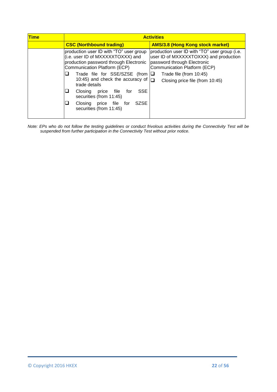| <b>Time</b> | <b>Activities</b>                                                                                                                                      |                                                                                                                                                        |
|-------------|--------------------------------------------------------------------------------------------------------------------------------------------------------|--------------------------------------------------------------------------------------------------------------------------------------------------------|
|             | <b>CSC (Northbound trading)</b>                                                                                                                        | <b>AMS/3.8 (Hong Kong stock market)</b>                                                                                                                |
|             | production user ID with "TO" user group<br>(i.e. user ID of MXXXXXTOXXX) and<br>production password through Electronic<br>Communication Platform (ECP) | production user ID with "TO" user group (i.e.<br>user ID of MXXXXXTOXXX) and production<br>password through Electronic<br>Communication Platform (ECP) |
|             | Trade file for SSE/SZSE (from $\Box$<br>10:45) and check the accuracy of $\Box$<br>trade details                                                       | Trade file (from 10:45)<br>Closing price file (from 10:45)                                                                                             |
|             | <b>SSE</b><br>Closing price file<br>for<br>securities (from 11:45)                                                                                     |                                                                                                                                                        |
|             | <b>SZSE</b><br>Closing price file for<br>securities (from 11:45)                                                                                       |                                                                                                                                                        |

*Note: EPs who do not follow the testing guidelines or conduct frivolous activities during the Connectivity Test will be suspended from further participation in the Connectivity Test without prior notice.*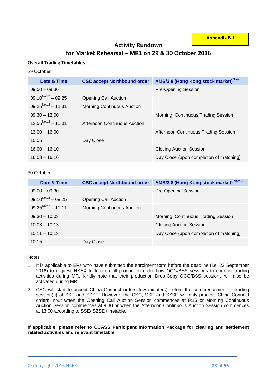**Appendix B.1**

## **Activity Rundown**

# **for Market Rehearsal – MR1 on 29 & 30 October 2016**

## **Overall Trading Timetables**

## 29 October

| Date & Time             | <b>CSC accept Northbound order</b> | AMS/3.8 (Hong Kong stock market) <sup>Note 1</sup> |
|-------------------------|------------------------------------|----------------------------------------------------|
| $09:00 - 09:30$         |                                    | <b>Pre-Opening Session</b>                         |
| $09:10^{Note2} - 09:25$ | <b>Opening Call Auction</b>        |                                                    |
| $09:25^{Note2} - 11:31$ | <b>Morning Continuous Auction</b>  |                                                    |
| $09:30 - 12:00$         |                                    | Morning Continuous Trading Session                 |
| $12:55^{Note2} - 15:01$ | Afternoon Continuous Auction       |                                                    |
| $13:00 - 16:00$         |                                    | Afternoon Continuous Trading Session               |
| 15:05                   | Day Close                          |                                                    |
| $16:00 - 16:10$         |                                    | <b>Closing Auction Session</b>                     |
| $16:08 - 16:10$         |                                    | Day Close (upon completion of matching)            |

## 30 October

| Date & Time             | <b>CSC accept Northbound order</b> | AMS/3.8 (Hong Kong stock market) Note 1 |
|-------------------------|------------------------------------|-----------------------------------------|
| $09:00 - 09:30$         |                                    | <b>Pre-Opening Session</b>              |
| $09:10^{Note2} - 09:25$ | <b>Opening Call Auction</b>        |                                         |
| $09:25^{Note2} - 10:11$ | <b>Morning Continuous Auction</b>  |                                         |
| $09:30 - 10:03$         |                                    | Morning Continuous Trading Session      |
| $10:03 - 10:13$         |                                    | <b>Closing Auction Session</b>          |
| $10:11 - 10:13$         |                                    | Day Close (upon completion of matching) |
| 10:15                   | Day Close                          |                                         |

## Notes

- 1. It is applicable to EPs who have submitted the enrolment form before the deadline (i.e. 23 September 2016) to request HKEX to turn on all production order flow OCG/BSS sessions to conduct trading activities during MR. Kindly note that their production Drop-Copy OCG/BSS sessions will also be activated during MR.
- 2. CSC will start to accept China Connect orders few minute(s) before the commencement of trading session(s) of SSE and SZSE. However, the CSC, SSE and SZSE will only process China Connect orders input when the Opening Call Auction Session commences at 9:15 or Morning Continuous Auction Session commences at 9:30 or when the Afternoon Continuous Auction Session commences at 13:00 according to SSE/ SZSE timetable.

**If applicable, please refer to CCASS Participant Information Package for clearing and settlement related activities and relevant timetable.**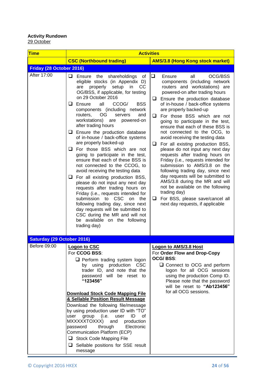## **Activity Rundown** <u>29 October</u>

| <b>Time</b>                       | <b>Activities</b>                                                                                                                                                                                                                                                                                                                                                                                                                                                                                                                                                                                                                                                                                                                                                                                                                                                                                                                                                                                                      |                                                                                                                                                                                                                                                                                                                                                                                                                                                                                                                                                                                                                                                                                                                                                                                                                                                              |
|-----------------------------------|------------------------------------------------------------------------------------------------------------------------------------------------------------------------------------------------------------------------------------------------------------------------------------------------------------------------------------------------------------------------------------------------------------------------------------------------------------------------------------------------------------------------------------------------------------------------------------------------------------------------------------------------------------------------------------------------------------------------------------------------------------------------------------------------------------------------------------------------------------------------------------------------------------------------------------------------------------------------------------------------------------------------|--------------------------------------------------------------------------------------------------------------------------------------------------------------------------------------------------------------------------------------------------------------------------------------------------------------------------------------------------------------------------------------------------------------------------------------------------------------------------------------------------------------------------------------------------------------------------------------------------------------------------------------------------------------------------------------------------------------------------------------------------------------------------------------------------------------------------------------------------------------|
|                                   | <b>CSC (Northbound trading)</b>                                                                                                                                                                                                                                                                                                                                                                                                                                                                                                                                                                                                                                                                                                                                                                                                                                                                                                                                                                                        | <b>AMS/3.8 (Hong Kong stock market)</b>                                                                                                                                                                                                                                                                                                                                                                                                                                                                                                                                                                                                                                                                                                                                                                                                                      |
| Friday (28 October 2016)          |                                                                                                                                                                                                                                                                                                                                                                                                                                                                                                                                                                                                                                                                                                                                                                                                                                                                                                                                                                                                                        |                                                                                                                                                                                                                                                                                                                                                                                                                                                                                                                                                                                                                                                                                                                                                                                                                                                              |
| After 17:00                       | $\Box$ Ensure the shareholdings of<br>eligible stocks (in Appendix D)<br>properly<br>setup in<br>are<br>CC<br>OG/BSS, if applicable, for testing<br>on 29 October 2016<br>$\Box$ Ensure<br>all<br><b>BSS</b><br>CCOG/<br>components (including network<br>OG.<br>routers,<br>servers<br>and<br>workstations)<br>powered-on<br>are<br>after trading hours<br>$\Box$ Ensure the production database<br>of in-house / back-office systems<br>are properly backed-up<br>$\Box$ For those BSS which are not<br>going to participate in the test,<br>ensure that each of these BSS is<br>not connected to the CCOG, to<br>avoid receiving the testing data<br>$\Box$ For all existing production BSS,<br>please do not input any next day<br>requests after trading hours on<br>Friday (i.e., requests intended for<br>submission to<br><b>CSC</b><br>on<br>the<br>following trading day, since next<br>day requests will be submitted to<br>CSC during the MR and will not<br>be available on the following<br>trading day) | ❏<br>OCG/BSS<br>Ensure<br>all<br>components (including network<br>routers and workstations) are<br>powered-on after trading hours<br>Ensure the production database<br>u<br>of in-house / back-office systems<br>are properly backed-up<br>For those BSS which are not<br>⊔<br>going to participate in the test,<br>ensure that each of these BSS is<br>not connected to the OCG, to<br>avoid receiving the testing data<br>❏<br>For all existing production BSS,<br>please do not input any next day<br>requests after trading hours on<br>Friday (i.e., requests intended for<br>submission to AMS/3.8 on the<br>following trading day, since next<br>day requests will be submitted to<br>AMS/3.8 during the MR and will<br>not be available on the following<br>trading day)<br>For BSS, please save/cancel all<br>❏<br>next day requests, if applicable |
| <b>Saturday (29 October 2016)</b> |                                                                                                                                                                                                                                                                                                                                                                                                                                                                                                                                                                                                                                                                                                                                                                                                                                                                                                                                                                                                                        |                                                                                                                                                                                                                                                                                                                                                                                                                                                                                                                                                                                                                                                                                                                                                                                                                                                              |
| Before 09:00                      | Logon to CSC<br>For CCOG BSS:<br>$\Box$ Perform trading system logon<br>using production<br><b>CSC</b><br>by<br>trader ID, and note that the<br>will be reset to<br>password<br>"123456"<br><b>Download Stock Code Mapping File</b><br>& Sellable Position Result Message<br>Download the following file/message<br>by using production user ID with "TO"<br>group<br>(i.e.<br>ID<br>user<br>user<br>0f<br>MXXXXXTOXXX)<br>and<br>production<br>password<br>through<br>Electronic<br>Communication Platform (ECP)<br>Stock Code Mapping File<br>$\Box$ Sellable positions for SSE result<br>message                                                                                                                                                                                                                                                                                                                                                                                                                    | <b>Logon to AMS/3.8 Host</b><br>For Order Flow and Drop-Copy<br>OCG/ BSS:<br>$\Box$ Connect to OCG and perform<br>logon for all OCG sessions<br>using the production Comp ID.<br>Please note that the password<br>will be reset to "Ab123456"<br>for all OCG sessions.                                                                                                                                                                                                                                                                                                                                                                                                                                                                                                                                                                                       |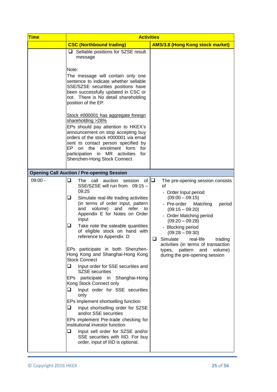| <b>Time</b> | <b>Activities</b>                                                                                                                                                                                                                                                                                                                                                                                                                                                                                                                                                                                                                                                                                                                                                                                                                                                                                                                                                          |                                                                                                                                                                                                                                                                                                                                                                                                  |
|-------------|----------------------------------------------------------------------------------------------------------------------------------------------------------------------------------------------------------------------------------------------------------------------------------------------------------------------------------------------------------------------------------------------------------------------------------------------------------------------------------------------------------------------------------------------------------------------------------------------------------------------------------------------------------------------------------------------------------------------------------------------------------------------------------------------------------------------------------------------------------------------------------------------------------------------------------------------------------------------------|--------------------------------------------------------------------------------------------------------------------------------------------------------------------------------------------------------------------------------------------------------------------------------------------------------------------------------------------------------------------------------------------------|
|             | <b>CSC (Northbound trading)</b>                                                                                                                                                                                                                                                                                                                                                                                                                                                                                                                                                                                                                                                                                                                                                                                                                                                                                                                                            | <b>AMS/3.8 (Hong Kong stock market)</b>                                                                                                                                                                                                                                                                                                                                                          |
|             | $\Box$ Sellable positions for SZSE result<br>message<br>Note:<br>The message will contain only one<br>sentence to indicate whether sellable                                                                                                                                                                                                                                                                                                                                                                                                                                                                                                                                                                                                                                                                                                                                                                                                                                |                                                                                                                                                                                                                                                                                                                                                                                                  |
|             | SSE/SZSE securities positions have<br>been successfully updated in CSC or<br>not. There is No detail shareholding<br>position of the EP.                                                                                                                                                                                                                                                                                                                                                                                                                                                                                                                                                                                                                                                                                                                                                                                                                                   |                                                                                                                                                                                                                                                                                                                                                                                                  |
|             | Stock #000001 has aggregate foreign<br>shareholding >28%<br>EPs should pay attention to HKEX's<br>announcement on stop accepting buy<br>orders of the stock #000001 via email<br>sent to contact person specified by<br>EP<br>on the enrolment form<br>for<br>participation in MR activities<br>for<br>Shenzhen-Hong Stock Connect                                                                                                                                                                                                                                                                                                                                                                                                                                                                                                                                                                                                                                         |                                                                                                                                                                                                                                                                                                                                                                                                  |
|             | <b>Opening Call Auction / Pre-opening Session</b>                                                                                                                                                                                                                                                                                                                                                                                                                                                                                                                                                                                                                                                                                                                                                                                                                                                                                                                          |                                                                                                                                                                                                                                                                                                                                                                                                  |
| $09:00 -$   | session of $\Box$<br>❏<br>call<br>auction<br>The<br>SSE/SZSE will run from<br>$09:15-$<br>09:25<br>⊔<br>Simulate real-life trading activities<br>(in terms of order input, pattern<br>volume)<br>and<br>and<br>refer<br>to<br>Appendix E for Notes on Order<br>Input<br>u<br>Take note the saleable quantities<br>of eligible stock on hand with<br>reference to Appendix D<br>EPs participate in both Shenzhen-<br>Hong Kong and Shanghai-Hong Kong<br><b>Stock Connect</b><br>Input order for SSE securities and<br>u<br><b>SZSE</b> securities<br>participate in Shanghai-Hong<br>EPs<br>Kong Stock Connect only<br>❏<br>Input order for SSE securities<br>only<br>EPs implement shortselling function<br>Input shortselling order for SZSE<br>u<br>and/or SSE securities<br>EPs implement Pre-trade checking for<br>institutional investor function<br>□<br>Input sell order for SZSE and/or<br>SSE securities with IIID. For buy<br>order, input of IIID is optional. | The pre-opening session consists<br>of<br>- Order Input period<br>$(09:00 - 09:15)$<br>- Pre-order<br>Matching<br>period<br>$(09:15 - 09:20)$<br>- Order Matching period<br>$(09:20 - 09:28)$<br>- Blocking period<br>$(09:28 - 09:30)$<br>Simulate<br>⊔<br>real-life<br>trading<br>activities (in terms of transaction<br>pattern<br>and<br>volume)<br>types,<br>during the pre-opening session |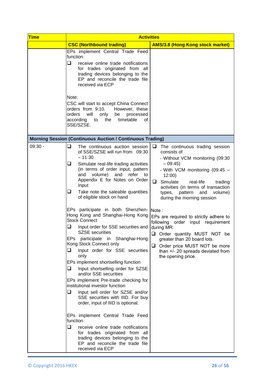| <b>Time</b> | <b>Activities</b>                                                                                                                                                                                                                                                                                                                                                                                                                                                                                                                                                                                                                                                                                                                                                                                                                                                                                                                                                                                                                                                        |  |
|-------------|--------------------------------------------------------------------------------------------------------------------------------------------------------------------------------------------------------------------------------------------------------------------------------------------------------------------------------------------------------------------------------------------------------------------------------------------------------------------------------------------------------------------------------------------------------------------------------------------------------------------------------------------------------------------------------------------------------------------------------------------------------------------------------------------------------------------------------------------------------------------------------------------------------------------------------------------------------------------------------------------------------------------------------------------------------------------------|--|
|             | <b>CSC (Northbound trading)</b><br><b>AMS/3.8 (Hong Kong stock market)</b>                                                                                                                                                                                                                                                                                                                                                                                                                                                                                                                                                                                                                                                                                                                                                                                                                                                                                                                                                                                               |  |
|             | EPs implement Central Trade Feed<br>function<br>❏<br>receive online trade notifications<br>for trades originated from all<br>trading devices belonging to the<br>EP and reconcile the trade file<br>received via ECP<br>Note:<br>CSC will start to accept China Connect<br>orders from 9:10.<br>However, these<br>orders<br>will<br>only<br>be<br>processed<br>timetable<br>according<br>the<br>οf<br>to<br>SSE/SZSE.                                                                                                                                                                                                                                                                                                                                                                                                                                                                                                                                                                                                                                                    |  |
|             | <b>Morning Session (Continuous Auction / Continuous Trading)</b>                                                                                                                                                                                                                                                                                                                                                                                                                                                                                                                                                                                                                                                                                                                                                                                                                                                                                                                                                                                                         |  |
| $09:30 -$   | $\Box$<br>The continuous auction session<br>u<br>The continuous trading session<br>of SSE/SZSE will run from 09:30<br>consists of<br>$-11:30$<br>- Without VCM monitoring (09:30<br>$-09:45$<br>❏<br>Simulate real-life trading activities<br>(in terms of order input, pattern<br>- With VCM monitoring (09:45 -<br>volume)<br>and<br>and<br>refer to<br>12:00<br>Appendix E for Notes on Order<br>◻<br>Simulate<br>real-life<br>trading<br>Input<br>activities (in terms of transaction<br>❏<br>Take note the saleable quantities<br>types, pattern<br>and volume)<br>of eligible stock on hand<br>during the morning session                                                                                                                                                                                                                                                                                                                                                                                                                                          |  |
|             | EPs participate in both Shenzhen-<br>Note:<br>Hong Kong and Shanghai-Hong Kong<br>EPs are required to strictly adhere to<br><b>Stock Connect</b><br>following order input requirement<br>❏<br>Input order for SSE securities and<br>during MR:<br><b>SZSE</b> securities<br>Order quantity MUST NOT be<br>EPs:<br>participate in Shanghai-Hong<br>greater than 20 board lots.<br>Kong Stock Connect only<br>❏<br>Order price MUST NOT be more<br>❏<br>Input order for SSE securities<br>than +/- 20 spreads deviated from<br>only<br>the opening price.<br>EPs implement shortselling function<br>❏<br>Input shortselling order for SZSE<br>and/or SSE securities<br>EPs implement Pre-trade checking for<br>institutional investor function<br>❏<br>Input sell order for SZSE and/or<br>SSE securities with IIID. For buy<br>order, input of IIID is optional.<br>EPs implement Central Trade Feed<br>function<br>$\Box$<br>receive online trade notifications<br>for trades originated from all<br>trading devices belonging to the<br>EP and reconcile the trade file |  |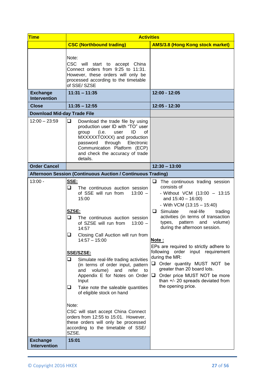| <b>Time</b>                            | <b>Activities</b>                                                                                                                                                                                                                                                                                                                                                                                                                                                                                                                                                    |                                                                                                                                                                                                                                                                                                                                                                                                                                                                                                                                                                 |
|----------------------------------------|----------------------------------------------------------------------------------------------------------------------------------------------------------------------------------------------------------------------------------------------------------------------------------------------------------------------------------------------------------------------------------------------------------------------------------------------------------------------------------------------------------------------------------------------------------------------|-----------------------------------------------------------------------------------------------------------------------------------------------------------------------------------------------------------------------------------------------------------------------------------------------------------------------------------------------------------------------------------------------------------------------------------------------------------------------------------------------------------------------------------------------------------------|
|                                        | <b>CSC (Northbound trading)</b>                                                                                                                                                                                                                                                                                                                                                                                                                                                                                                                                      | <b>AMS/3.8 (Hong Kong stock market)</b>                                                                                                                                                                                                                                                                                                                                                                                                                                                                                                                         |
|                                        | Note:<br>CSC will start to accept China<br>Connect orders from 9:25 to 11:31.<br>However, these orders will only be<br>processed according to the timetable<br>of SSE/SZSE                                                                                                                                                                                                                                                                                                                                                                                           |                                                                                                                                                                                                                                                                                                                                                                                                                                                                                                                                                                 |
| <b>Exchange</b><br><b>Intervention</b> | $11:31 - 11:35$                                                                                                                                                                                                                                                                                                                                                                                                                                                                                                                                                      | 12:00 - 12:05                                                                                                                                                                                                                                                                                                                                                                                                                                                                                                                                                   |
| <b>Close</b>                           | $11:35 - 12:55$                                                                                                                                                                                                                                                                                                                                                                                                                                                                                                                                                      | 12:05 - 12:30                                                                                                                                                                                                                                                                                                                                                                                                                                                                                                                                                   |
| <b>Download Mid-day Trade File</b>     |                                                                                                                                                                                                                                                                                                                                                                                                                                                                                                                                                                      |                                                                                                                                                                                                                                                                                                                                                                                                                                                                                                                                                                 |
| $12:00 - 23:59$                        | ⊔.<br>Download the trade file by using<br>production user ID with "TO" user<br>(i.e.<br>ID<br>group<br>user<br>οf<br>MXXXXXTOXXX) and production<br>through<br>Electronic<br>password<br>Communication Platform (ECP)<br>and check the accuracy of trade<br>details.                                                                                                                                                                                                                                                                                                 |                                                                                                                                                                                                                                                                                                                                                                                                                                                                                                                                                                 |
| <b>Order Cancel</b>                    |                                                                                                                                                                                                                                                                                                                                                                                                                                                                                                                                                                      | $12:30 - 13:00$                                                                                                                                                                                                                                                                                                                                                                                                                                                                                                                                                 |
|                                        | Afternoon Session (Continuous Auction / Continuous Trading)                                                                                                                                                                                                                                                                                                                                                                                                                                                                                                          |                                                                                                                                                                                                                                                                                                                                                                                                                                                                                                                                                                 |
| $13:00 -$                              | SSE:<br>u.<br>The continuous auction session<br>of SSE will run from<br>$13:00 -$<br>15:00<br>SZSE:<br>O.<br>The continuous auction session<br>of SZSE will run from<br>$13:00 -$<br>14:57<br>Closing Call Auction will run from<br>u<br>$14:57 - 15:00$<br>SSE/SZSE:<br>$\Box$<br>Simulate real-life trading activities<br>(in terms of order input, pattern<br>volume)<br>and<br>refer to<br>and<br>Appendix E for Notes on Order<br>Input<br>Take note the saleable quantities<br>u.<br>of eligible stock on hand<br>Note:<br>CSC will start accept China Connect | The continuous trading session<br>consists of<br>- Without VCM (13:00 - 13:15<br>and $15:40 - 16:00$ )<br>- With VCM $(13:15 - 15:40)$<br>real-life<br>$\Box$ Simulate<br>trading<br>activities (in terms of transaction<br>types, pattern and volume)<br>during the afternoon session.<br>Note:<br>EPs are required to strictly adhere to<br>following order input requirement<br>during the MR:<br>Onder quantity MUST NOT be<br>greater than 20 board lots.<br>Order price MUST NOT be more<br>⊔.<br>than +/- 20 spreads deviated from<br>the opening price. |
|                                        | orders from 12:55 to 15:01. However,<br>these orders will only be processed<br>according to the timetable of SSE/<br>SZSE.                                                                                                                                                                                                                                                                                                                                                                                                                                           |                                                                                                                                                                                                                                                                                                                                                                                                                                                                                                                                                                 |
| <b>Exchange</b><br><b>Intervention</b> | 15:01                                                                                                                                                                                                                                                                                                                                                                                                                                                                                                                                                                |                                                                                                                                                                                                                                                                                                                                                                                                                                                                                                                                                                 |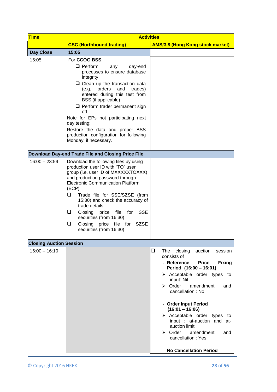| <b>Time</b>                    | <b>Activities</b>                                                                                                                                                                                                                                                                                                                                                                                                                                                    |                                                                                                                                                                                                                                                                                                                                                                                                                                                             |
|--------------------------------|----------------------------------------------------------------------------------------------------------------------------------------------------------------------------------------------------------------------------------------------------------------------------------------------------------------------------------------------------------------------------------------------------------------------------------------------------------------------|-------------------------------------------------------------------------------------------------------------------------------------------------------------------------------------------------------------------------------------------------------------------------------------------------------------------------------------------------------------------------------------------------------------------------------------------------------------|
|                                | <b>CSC (Northbound trading)</b>                                                                                                                                                                                                                                                                                                                                                                                                                                      | <b>AMS/3.8 (Hong Kong stock market)</b>                                                                                                                                                                                                                                                                                                                                                                                                                     |
| <b>Day Close</b>               | 15:05                                                                                                                                                                                                                                                                                                                                                                                                                                                                |                                                                                                                                                                                                                                                                                                                                                                                                                                                             |
| $15:05 -$                      | For CCOG BSS:<br>$\Box$ Perform<br>day-end<br>any<br>processes to ensure database<br>integrity<br>$\Box$ Clean up the transaction data<br>orders<br>(e.g.<br>and<br>trades)<br>entered during this test from<br>BSS (if applicable)<br>$\Box$ Perform trader permanent sign<br>off<br>Note for EPs not participating next<br>day testing:<br>Restore the data and proper BSS<br>production configuration for following<br>Monday, if necessary.                      |                                                                                                                                                                                                                                                                                                                                                                                                                                                             |
|                                | Download Day-end Trade File and Closing Price File                                                                                                                                                                                                                                                                                                                                                                                                                   |                                                                                                                                                                                                                                                                                                                                                                                                                                                             |
| $16:00 - 23:59$                | Download the following files by using<br>production user ID with "TO" user<br>group (i.e. user ID of MXXXXXTOXXX)<br>and production password through<br><b>Electronic Communication Platform</b><br>(ECP)<br>❏<br>Trade file for SSE/SZSE (from<br>15:30) and check the accuracy of<br>trade details<br>Closing<br>price<br>file<br>for<br><b>SSE</b><br>u<br>securities (from 16:30)<br>Closing<br>price<br>file for<br><b>SZSE</b><br>⊔<br>securities (from 16:30) |                                                                                                                                                                                                                                                                                                                                                                                                                                                             |
| <b>Closing Auction Session</b> |                                                                                                                                                                                                                                                                                                                                                                                                                                                                      |                                                                                                                                                                                                                                                                                                                                                                                                                                                             |
| $16:00 - 16:10$                |                                                                                                                                                                                                                                                                                                                                                                                                                                                                      | ❏<br>The closing<br>auction<br>session<br>consists of<br>- Reference<br><b>Price</b><br><b>Fixing</b><br>Period (16:00 - 16:01)<br>> Acceptable order types to<br>input: Nil<br>$\triangleright$ Order<br>amendment<br>and<br>cancellation: No<br>- Order Input Period<br>$(16:01 - 16:06)$<br>$\triangleright$ Acceptable order types to<br>input : at-auction and at-<br>auction limit<br>$\triangleright$ Order<br>amendment<br>and<br>cancellation: Yes |
|                                |                                                                                                                                                                                                                                                                                                                                                                                                                                                                      | <b>No Cancellation Period</b>                                                                                                                                                                                                                                                                                                                                                                                                                               |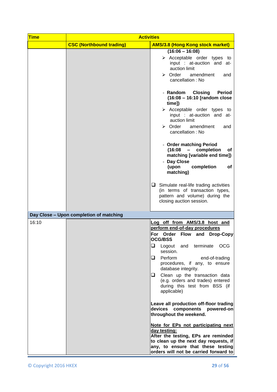| <b>Time</b> | <b>Activities</b>                       |                                                                                                                                                                                                                                                                                                                                                                                                                                                                                                                                                                                                                                                                                                                                |
|-------------|-----------------------------------------|--------------------------------------------------------------------------------------------------------------------------------------------------------------------------------------------------------------------------------------------------------------------------------------------------------------------------------------------------------------------------------------------------------------------------------------------------------------------------------------------------------------------------------------------------------------------------------------------------------------------------------------------------------------------------------------------------------------------------------|
|             | <b>CSC (Northbound trading)</b>         | <b>AMS/3.8 (Hong Kong stock market)</b>                                                                                                                                                                                                                                                                                                                                                                                                                                                                                                                                                                                                                                                                                        |
|             |                                         | $(16:06 - 16:08)$<br>$\triangleright$ Acceptable order types to<br>input : at-auction and at-<br>auction limit<br>$\triangleright$ Order<br>amendment<br>and<br>cancellation: No                                                                                                                                                                                                                                                                                                                                                                                                                                                                                                                                               |
|             |                                         | - Random Closing<br><b>Period</b><br>(16:08 - 16:10 [random close<br>time])<br>$\triangleright$ Acceptable order types to<br>input : at-auction and at-<br>auction limit<br>$\triangleright$ Order<br>amendment<br>and<br>cancellation: No                                                                                                                                                                                                                                                                                                                                                                                                                                                                                     |
|             |                                         | - Order matching Period<br>(16:08)<br>$\sim$<br>completion<br>of<br>matching [variable end time])<br>- Day Close<br>(upon<br>completion<br>оf<br>matching)                                                                                                                                                                                                                                                                                                                                                                                                                                                                                                                                                                     |
|             |                                         | $\Box$ Simulate real-life trading activities<br>(in terms of transaction types,<br>pattern and volume) during the<br>closing auction session.                                                                                                                                                                                                                                                                                                                                                                                                                                                                                                                                                                                  |
|             | Day Close - Upon completion of matching |                                                                                                                                                                                                                                                                                                                                                                                                                                                                                                                                                                                                                                                                                                                                |
| 16:10       |                                         | Log off from AMS/3.8 host and<br>perform end-of-day procedures<br>Flow and Drop-Copy<br>For Order<br><b>OCG/BSS</b><br>❏<br><b>OCG</b><br>Logout and<br>terminate<br>session.<br>Perform<br>u.<br>end-of-trading<br>procedures, if any, to ensure<br>database integrity.<br>Clean up the transaction data<br>⊔.<br>(e.g. orders and trades) entered<br>during this test from BSS (if<br>applicable)<br>Leave all production off-floor trading<br>devices components powered-on<br>throughout the weekend.<br>Note for EPs not participating next<br>day testing:<br>After the testing, EPs are reminded<br>to clean up the next day requests, if<br>any, to ensure that these testing<br>orders will not be carried forward to |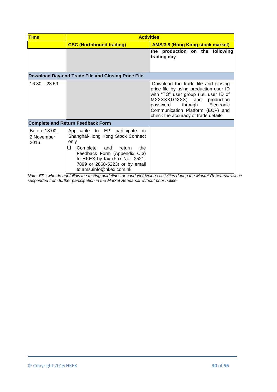| <b>Time</b>                         | <b>Activities</b>                                                                                                                                                                                                                                       |                                                                                                                                                                                                                                                                       |
|-------------------------------------|---------------------------------------------------------------------------------------------------------------------------------------------------------------------------------------------------------------------------------------------------------|-----------------------------------------------------------------------------------------------------------------------------------------------------------------------------------------------------------------------------------------------------------------------|
|                                     | <b>CSC (Northbound trading)</b>                                                                                                                                                                                                                         | <b>AMS/3.8 (Hong Kong stock market)</b>                                                                                                                                                                                                                               |
|                                     |                                                                                                                                                                                                                                                         | the production on the following<br>trading day                                                                                                                                                                                                                        |
|                                     | Download Day-end Trade File and Closing Price File                                                                                                                                                                                                      |                                                                                                                                                                                                                                                                       |
| $16:30 - 23:59$                     |                                                                                                                                                                                                                                                         | Download the trade file and closing<br>price file by using production user ID<br>with "TO" user group (i.e. user ID of<br>MXXXXXTOXXX) and production<br>through<br>Electronic<br>password<br>Communication Platform (ECP) and<br>check the accuracy of trade details |
|                                     | <b>Complete and Return Feedback Form</b>                                                                                                                                                                                                                |                                                                                                                                                                                                                                                                       |
| Before 18:00,<br>2 November<br>2016 | Applicable to EP<br>participate<br>in.<br>Shanghai-Hong Kong Stock Connect<br>only<br>Complete and<br>⊔<br>return<br>the<br>Feedback Form (Appendix C.3)<br>to HKEX by fax (Fax No.: 2521-<br>7899 or 2868-5223) or by email<br>to ams3info@hkex.com.hk |                                                                                                                                                                                                                                                                       |

*Note: EPs who do not follow the testing guidelines or conduct frivolous activities during the Market Rehearsal will be suspended from further participation in the Market Rehearsal without prior notice.*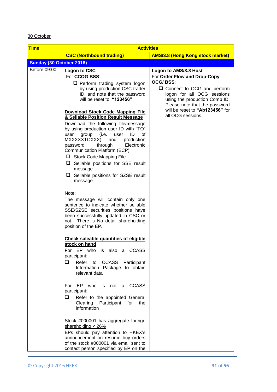## 30 October

| <b>Time</b>              | <b>Activities</b>                                                                                                                                                                                                                                                                                                                                                                                                                                                                                                                                                                                                                  |                                                                                                                                                                                                                                                                       |
|--------------------------|------------------------------------------------------------------------------------------------------------------------------------------------------------------------------------------------------------------------------------------------------------------------------------------------------------------------------------------------------------------------------------------------------------------------------------------------------------------------------------------------------------------------------------------------------------------------------------------------------------------------------------|-----------------------------------------------------------------------------------------------------------------------------------------------------------------------------------------------------------------------------------------------------------------------|
|                          | <b>CSC (Northbound trading)</b>                                                                                                                                                                                                                                                                                                                                                                                                                                                                                                                                                                                                    | <b>AMS/3.8 (Hong Kong stock market)</b>                                                                                                                                                                                                                               |
| Sunday (30 October 2016) |                                                                                                                                                                                                                                                                                                                                                                                                                                                                                                                                                                                                                                    |                                                                                                                                                                                                                                                                       |
| Before 09:00             | <u> Logon to CSC</u><br>For CCOG BSS:<br>Perform trading system logon<br>by using production CSC trader<br>ID, and note that the password<br>will be reset to "123456"<br>Download Stock Code Mapping File<br>& Sellable Position Result Message<br>Download the following file/message<br>by using production user ID with "TO"<br>ID<br>group<br>(i.e.<br>user<br>user<br>οf<br>MXXXXXTOXXX)<br>and<br>production<br>through<br>password<br>Electronic<br>Communication Platform (ECP)<br>Stock Code Mapping File<br>$\Box$ Sellable positions for SSE result<br>message<br>$\Box$ Sellable positions for SZSE result<br>message | <b>Logon to AMS/3.8 Host</b><br>For Order Flow and Drop-Copy<br>OCG/BSS:<br>$\Box$ Connect to OCG and perform<br>logon for all OCG sessions<br>using the production Comp ID.<br>Please note that the password<br>will be reset to "Ab123456" for<br>all OCG sessions. |
|                          | Note:<br>The message will contain only one<br>sentence to indicate whether sellable<br>SSE/SZSE securities positions have<br>been successfully updated in CSC or<br>not. There is No detail shareholding<br>position of the EP.                                                                                                                                                                                                                                                                                                                                                                                                    |                                                                                                                                                                                                                                                                       |
|                          | <b>Check saleable quantities of eligible</b><br>stock on hand<br>For EP who is also a CCASS<br>participant:<br>◻<br>Refer<br>to CCASS Participant<br>Information Package to obtain<br>relevant data                                                                                                                                                                                                                                                                                                                                                                                                                                |                                                                                                                                                                                                                                                                       |
|                          | For EP who is not a CCASS<br>participant:<br>□<br>Refer to the appointed General<br>Clearing Participant for<br>the<br>information                                                                                                                                                                                                                                                                                                                                                                                                                                                                                                 |                                                                                                                                                                                                                                                                       |
|                          | Stock #000001 has aggregate foreign<br>shareholding $<$ 26%<br>EPs should pay attention to HKEX's<br>announcement on resume buy orders<br>of the stock #000001 via email sent to<br>contact person specified by EP on the                                                                                                                                                                                                                                                                                                                                                                                                          |                                                                                                                                                                                                                                                                       |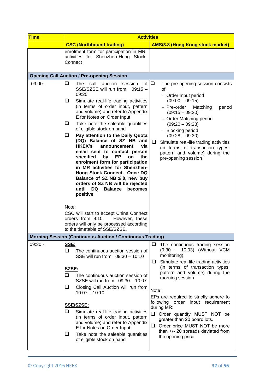| Time      | <b>Activities</b>                                                                                                                                                                                                                                                                                                                                                                                                                                                                                                                                                                                                                                                                                                                                                                                                                                                                                                            |                                                                                                                                                                                                                                                                                                                                                                                                                                                                                                 |
|-----------|------------------------------------------------------------------------------------------------------------------------------------------------------------------------------------------------------------------------------------------------------------------------------------------------------------------------------------------------------------------------------------------------------------------------------------------------------------------------------------------------------------------------------------------------------------------------------------------------------------------------------------------------------------------------------------------------------------------------------------------------------------------------------------------------------------------------------------------------------------------------------------------------------------------------------|-------------------------------------------------------------------------------------------------------------------------------------------------------------------------------------------------------------------------------------------------------------------------------------------------------------------------------------------------------------------------------------------------------------------------------------------------------------------------------------------------|
|           | <b>CSC (Northbound trading)</b>                                                                                                                                                                                                                                                                                                                                                                                                                                                                                                                                                                                                                                                                                                                                                                                                                                                                                              | <b>AMS/3.8 (Hong Kong stock market)</b>                                                                                                                                                                                                                                                                                                                                                                                                                                                         |
|           | enrolment form for participation in MR<br>activities for Shenzhen-Hong Stock<br>Connect                                                                                                                                                                                                                                                                                                                                                                                                                                                                                                                                                                                                                                                                                                                                                                                                                                      |                                                                                                                                                                                                                                                                                                                                                                                                                                                                                                 |
|           | <b>Opening Call Auction / Pre-opening Session</b>                                                                                                                                                                                                                                                                                                                                                                                                                                                                                                                                                                                                                                                                                                                                                                                                                                                                            |                                                                                                                                                                                                                                                                                                                                                                                                                                                                                                 |
| $09:00 -$ | ❏<br>The<br>call<br>auction<br>of l<br>session<br>SSE/SZSE will run from<br>$09:15 -$<br>09:25<br>Simulate real-life trading activities<br>u<br>(in terms of order input, pattern<br>and volume) and refer to Appendix<br>E for Notes on Order Input<br>❏<br>Take note the saleable quantities<br>of eligible stock on hand<br>❏<br>Pay attention to the Daily Quota<br>(DQ) Balance of SZ NB and<br>HKEX's<br>announcement<br>via<br>email sent to contact person<br>specified<br>by<br>EP<br>the<br>on<br>enrolment form for participation<br>in MR activities for Shenzhen-<br>Hong Stock Connect. Once DQ<br>Balance of SZ NB $\leq$ 0, new buy<br>orders of SZ NB will be rejected<br>until<br><b>DQ</b><br><b>Balance</b><br>becomes<br>positive<br>Note:<br>CSC will start to accept China Connect<br>orders from 9:10.<br>However, these<br>orders will only be processed according<br>to the timetable of SSE/SZSE. | $\Box$<br>The pre-opening session consists<br>οf<br>- Order Input period<br>$(09:00 - 09:15)$<br>- Pre-order<br>Matching<br>period<br>$(09:15 - 09:20)$<br>- Order Matching period<br>$(09:20 - 09:28)$<br>- Blocking period<br>$(09:28 - 09:30)$<br>❏<br>Simulate real-life trading activities<br>(in terms of transaction types,<br>pattern and volume) during the<br>pre-opening session                                                                                                     |
|           | <b>Morning Session (Continuous Auction / Continuous Trading)</b>                                                                                                                                                                                                                                                                                                                                                                                                                                                                                                                                                                                                                                                                                                                                                                                                                                                             |                                                                                                                                                                                                                                                                                                                                                                                                                                                                                                 |
| $09:30 -$ | SSE:<br>ப<br>The continuous auction session of<br>SSE will run from 09:30 - 10:10<br>SZSE:<br>□<br>The continuous auction session of<br>SZSE will run from 09:30 - 10:07<br>Closing Call Auction will run from<br>⊔<br>$10:07 - 10:10$<br><b>SSE/SZSE:</b><br>⊔<br>Simulate real-life trading activities<br>(in terms of order input, pattern<br>and volume) and refer to Appendix<br>E for Notes on Order Input<br>Take note the saleable quantities<br>⊔<br>of eligible stock on hand                                                                                                                                                                                                                                                                                                                                                                                                                                      | The continuous trading session<br>❏<br>(9:30 - 10:03) (Without VCM<br>monitoring)<br>Simulate real-life trading activities<br>⊔<br>(in terms of transaction types,<br>pattern and volume) during the<br>morning session<br>Note:<br>EPs are required to strictly adhere to<br>following order input requirement<br>during MR:<br>$\Box$<br>Order quantity MUST NOT be<br>greater than 20 board lots.<br>Order price MUST NOT be more<br>than +/- 20 spreads deviated from<br>the opening price. |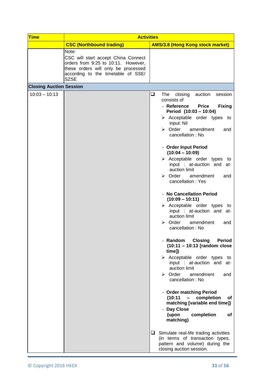| <b>CSC (Northbound trading)</b><br><b>AMS/3.8 (Hong Kong stock market)</b><br>Note:<br>CSC will start accept China Connect<br>orders from 9:25 to 10:11. However,<br>these orders will only be processed<br>according to the timetable of SSE/<br><b>SZSE</b><br><b>Closing Auction Session</b><br>$10:03 - 10:13$<br>❏<br>The<br>closing<br>auction<br>consists of<br>- Reference<br><b>Price</b><br>Period (10:03 - 10:04)<br>$\triangleright$ Acceptable order types to<br>input: Nil<br>$\triangleright$ Order<br>amendment<br>cancellation: No<br>- Order Input Period<br>$(10:04 - 10:09)$<br>$\triangleright$ Acceptable order types to<br>input : at-auction and at-<br>auction limit<br>$\triangleright$ Order<br>amendment<br>cancellation: Yes<br>- No Cancellation Period<br>$(10:09 - 10:11)$<br>$\triangleright$ Acceptable order types to<br>input : at-auction and at-<br>auction limit<br>$\triangleright$ Order<br>amendment<br>cancellation: No<br>- Random<br><b>Closing</b><br>(10:11 - 10:13 [random close<br>time])<br>> Acceptable order types<br>input : at-auction and at-<br>auction limit<br>$\triangleright$ Order<br>amendment | <b>Activities</b>                                                                       |  |
|--------------------------------------------------------------------------------------------------------------------------------------------------------------------------------------------------------------------------------------------------------------------------------------------------------------------------------------------------------------------------------------------------------------------------------------------------------------------------------------------------------------------------------------------------------------------------------------------------------------------------------------------------------------------------------------------------------------------------------------------------------------------------------------------------------------------------------------------------------------------------------------------------------------------------------------------------------------------------------------------------------------------------------------------------------------------------------------------------------------------------------------------------------------|-----------------------------------------------------------------------------------------|--|
|                                                                                                                                                                                                                                                                                                                                                                                                                                                                                                                                                                                                                                                                                                                                                                                                                                                                                                                                                                                                                                                                                                                                                              |                                                                                         |  |
|                                                                                                                                                                                                                                                                                                                                                                                                                                                                                                                                                                                                                                                                                                                                                                                                                                                                                                                                                                                                                                                                                                                                                              |                                                                                         |  |
|                                                                                                                                                                                                                                                                                                                                                                                                                                                                                                                                                                                                                                                                                                                                                                                                                                                                                                                                                                                                                                                                                                                                                              |                                                                                         |  |
| cancellation: No<br>- Order matching Period<br>(10:11)<br>$\qquad \qquad -$<br>completion<br>matching [variable end time])<br>- Day Close<br>(upon<br>completion<br>matching)<br>$\Box$ Simulate real-life trading activities<br>(in terms of transaction types,<br>pattern and volume) during the<br>closing auction session.                                                                                                                                                                                                                                                                                                                                                                                                                                                                                                                                                                                                                                                                                                                                                                                                                               | session<br><b>Fixing</b><br>and<br>and<br>and<br><b>Period</b><br>to<br>and<br>οf<br>οf |  |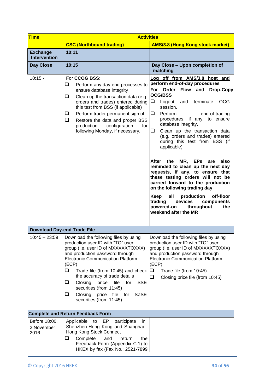| <b>Time</b>                            | <b>Activities</b>                                                                                                                                                                                                                                                                                                                                                                                                                                         |                                                                                                                                                                                                                                                                                                                                                                                                                                                                                                                                                                                                                                                                                                                                                                    |
|----------------------------------------|-----------------------------------------------------------------------------------------------------------------------------------------------------------------------------------------------------------------------------------------------------------------------------------------------------------------------------------------------------------------------------------------------------------------------------------------------------------|--------------------------------------------------------------------------------------------------------------------------------------------------------------------------------------------------------------------------------------------------------------------------------------------------------------------------------------------------------------------------------------------------------------------------------------------------------------------------------------------------------------------------------------------------------------------------------------------------------------------------------------------------------------------------------------------------------------------------------------------------------------------|
|                                        | <b>CSC (Northbound trading)</b>                                                                                                                                                                                                                                                                                                                                                                                                                           | <b>AMS/3.8 (Hong Kong stock market)</b>                                                                                                                                                                                                                                                                                                                                                                                                                                                                                                                                                                                                                                                                                                                            |
| <b>Exchange</b><br><b>Intervention</b> | 10:11                                                                                                                                                                                                                                                                                                                                                                                                                                                     |                                                                                                                                                                                                                                                                                                                                                                                                                                                                                                                                                                                                                                                                                                                                                                    |
| Day Close                              | 10:15                                                                                                                                                                                                                                                                                                                                                                                                                                                     | Day Close - Upon completion of<br>matching                                                                                                                                                                                                                                                                                                                                                                                                                                                                                                                                                                                                                                                                                                                         |
| $10:15 -$                              | For CCOG BSS:<br>❏<br>Perform any day-end processes to<br>ensure database integrity<br>Clean up the transaction data (e.g.<br>❏<br>orders and trades) entered during<br>this test from BSS (if applicable)<br>Perform trader permanent sign off<br>u<br>❏<br>Restore the data and proper BSS<br>production<br>configuration<br>for<br>following Monday, if necessary.                                                                                     | Log off from AMS/3.8 host and<br>perform end-of-day procedures<br>For Order Flow<br>and<br><b>Drop-Copy</b><br><b>OCG/BSS</b><br>❏<br><b>OCG</b><br>Logout and<br>terminate<br>session.<br>Perform<br>end-of-trading<br>procedures, if any, to ensure<br>database integrity.<br>Clean up the transaction data<br>┙<br>(e.g. orders and trades) entered<br>during this test from BSS (if<br>applicable)<br>After the MR, EPs are<br>also<br>reminded to clean up the next day<br>requests, if any, to ensure that<br>these testing orders will not be<br>carried forward to the production<br>on the following trading day<br>all<br>production<br>off-floor<br>Keep<br>trading<br>devices<br>components<br>powered-on<br>throughout<br>the<br>weekend after the MR |
| <b>Download Day-end Trade File</b>     |                                                                                                                                                                                                                                                                                                                                                                                                                                                           |                                                                                                                                                                                                                                                                                                                                                                                                                                                                                                                                                                                                                                                                                                                                                                    |
| $10:45 - 23:59$                        | Download the following files by using<br>production user ID with "TO" user<br>group (i.e. user ID of MXXXXXTOXXX)<br>and production password through<br><b>Electronic Communication Platform</b><br>(ECP)<br>$\Box$<br>Trade file (from 10:45) and check<br>the accuracy of trade details<br><b>SSE</b><br>u<br>Closing<br>price<br>file<br>for<br>securities (from 11:45)<br>❏<br>Closing<br>price<br>file for<br><b>SZSE</b><br>securities (from 11:45) | Download the following files by using<br>production user ID with "TO" user<br>group (i.e. user ID of MXXXXXTOXXX)<br>and production password through<br><b>Electronic Communication Platform</b><br>(ECP)<br>❏<br>Trade file (from 10:45)<br>❏<br>Closing price file (from 10:45)                                                                                                                                                                                                                                                                                                                                                                                                                                                                                  |
|                                        | <b>Complete and Return Feedback Form</b>                                                                                                                                                                                                                                                                                                                                                                                                                  |                                                                                                                                                                                                                                                                                                                                                                                                                                                                                                                                                                                                                                                                                                                                                                    |
| Before 18:00,<br>2 November<br>2016    | EP.<br>participate<br>Applicable<br>to<br>in.<br>Shenzhen-Hong Kong and Shanghai-<br>Hong Kong Stock Connect<br>Complete<br>❏<br>and<br>return<br>the<br>Feedback Form (Appendix C.1) to<br>HKEX by fax (Fax No.: 2521-7899                                                                                                                                                                                                                               |                                                                                                                                                                                                                                                                                                                                                                                                                                                                                                                                                                                                                                                                                                                                                                    |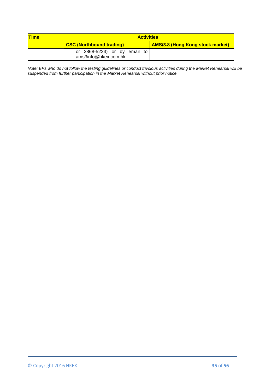| <b>Time</b> | <b>Activities</b>                                     |                                         |
|-------------|-------------------------------------------------------|-----------------------------------------|
|             | <b>CSC (Northbound trading)</b>                       | <b>AMS/3.8 (Hong Kong stock market)</b> |
|             | or $2868-5223$ or by email to<br>ams3info@hkex.com.hk |                                         |

*Note: EPs who do not follow the testing guidelines or conduct frivolous activities during the Market Rehearsal will be suspended from further participation in the Market Rehearsal without prior notice.*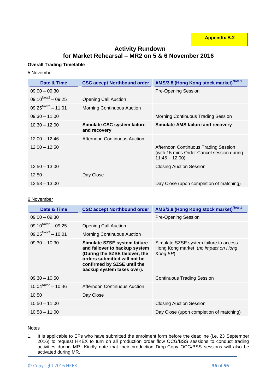**Appendix B.2**

# **Activity Rundown for Market Rehearsal – MR2 on 5 & 6 November 2016**

## **Overall Trading Timetable**

## 5 November

| Date & Time                    | <b>CSC accept Northbound order</b>          | AMS/3.8 (Hong Kong stock market) <sup>Note 1</sup>                                                   |
|--------------------------------|---------------------------------------------|------------------------------------------------------------------------------------------------------|
| $09:00 - 09:30$                |                                             | <b>Pre-Opening Session</b>                                                                           |
| $09:10^{Note2} - 09:25$        | <b>Opening Call Auction</b>                 |                                                                                                      |
| $09:25^{\text{Note2}} - 11:01$ | Morning Continuous Auction                  |                                                                                                      |
| $09:30 - 11:00$                |                                             | Morning Continuous Trading Session                                                                   |
| $10:30 - 12:00$                | Simulate CSC system failure<br>and recovery | <b>Simulate AMS failure and recovery</b>                                                             |
| $12:00 - 12:46$                | Afternoon Continuous Auction                |                                                                                                      |
| $12:00 - 12:50$                |                                             | Afternoon Continuous Trading Session<br>(with 15 mins Order Cancel session during<br>$11:45 - 12:00$ |
| $12:50 - 13:00$                |                                             | <b>Closing Auction Session</b>                                                                       |
| 12:50                          | Day Close                                   |                                                                                                      |
| $12:58 - 13:00$                |                                             | Day Close (upon completion of matching)                                                              |

## 6 November

| Date & Time                    | <b>CSC accept Northbound order</b>                                                                                                                                                           | AMS/3.8 (Hong Kong stock market) <sup>Note 1</sup>                                        |
|--------------------------------|----------------------------------------------------------------------------------------------------------------------------------------------------------------------------------------------|-------------------------------------------------------------------------------------------|
| $09:00 - 09:30$                |                                                                                                                                                                                              | <b>Pre-Opening Session</b>                                                                |
| $09:10^{Note2} - 09:25$        | <b>Opening Call Auction</b>                                                                                                                                                                  |                                                                                           |
| $09:25^{\text{Note2}} - 10:01$ | <b>Morning Continuous Auction</b>                                                                                                                                                            |                                                                                           |
| $09:30 - 10:30$                | Simulate SZSE system failure<br>and failover to backup system<br>(During the SZSE failover, the<br>orders submitted will not be<br>confirmed by SZSE until the<br>backup system takes over). | Simulate SZSE system failure to access<br>Hong Kong market (no impact on Hong<br>Kong EP) |
| $09:30 - 10:50$                |                                                                                                                                                                                              | <b>Continuous Trading Session</b>                                                         |
| $10:04^{\text{Note2}} - 10:46$ | Afternoon Continuous Auction                                                                                                                                                                 |                                                                                           |
| 10:50                          | Day Close                                                                                                                                                                                    |                                                                                           |
| $10:50 - 11:00$                |                                                                                                                                                                                              | <b>Closing Auction Session</b>                                                            |
| $10:58 - 11:00$                |                                                                                                                                                                                              | Day Close (upon completion of matching)                                                   |

## **Notes**

1. It is applicable to EPs who have submitted the enrolment form before the deadline (i.e. 23 September 2016) to request HKEX to turn on all production order flow OCG/BSS sessions to conduct trading activities during MR. Kindly note that their production Drop-Copy OCG/BSS sessions will also be activated during MR.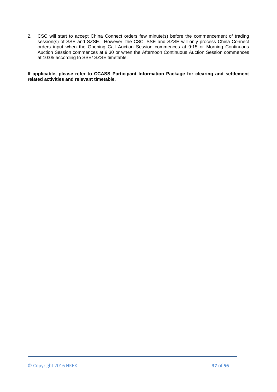2. CSC will start to accept China Connect orders few minute(s) before the commencement of trading session(s) of SSE and SZSE. However, the CSC, SSE and SZSE will only process China Connect orders input when the Opening Call Auction Session commences at 9:15 or Morning Continuous Auction Session commences at 9:30 or when the Afternoon Continuous Auction Session commences at 10:05 according to SSE/ SZSE timetable.

#### **If applicable, please refer to CCASS Participant Information Package for clearing and settlement related activities and relevant timetable.**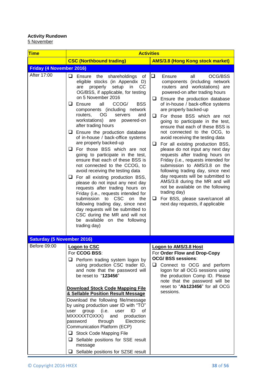# **Activity Rundown**

<u>5 November</u>

| <b>Time</b>                       | <b>Activities</b>                                                                                                                                                                                                                                                                                                                                                                                                                                                                                                                                                                                                                                                                                                                                                                                                                                                                                                                                                                                                                |                                                                                                                                                                                                                                                                                                                                                                                                                                                                                                                                                                                                                                                                                                                                                                                                                                                              |
|-----------------------------------|----------------------------------------------------------------------------------------------------------------------------------------------------------------------------------------------------------------------------------------------------------------------------------------------------------------------------------------------------------------------------------------------------------------------------------------------------------------------------------------------------------------------------------------------------------------------------------------------------------------------------------------------------------------------------------------------------------------------------------------------------------------------------------------------------------------------------------------------------------------------------------------------------------------------------------------------------------------------------------------------------------------------------------|--------------------------------------------------------------------------------------------------------------------------------------------------------------------------------------------------------------------------------------------------------------------------------------------------------------------------------------------------------------------------------------------------------------------------------------------------------------------------------------------------------------------------------------------------------------------------------------------------------------------------------------------------------------------------------------------------------------------------------------------------------------------------------------------------------------------------------------------------------------|
|                                   | <b>CSC (Northbound trading)</b>                                                                                                                                                                                                                                                                                                                                                                                                                                                                                                                                                                                                                                                                                                                                                                                                                                                                                                                                                                                                  | <b>AMS/3.8 (Hong Kong stock market)</b>                                                                                                                                                                                                                                                                                                                                                                                                                                                                                                                                                                                                                                                                                                                                                                                                                      |
| <b>Friday (4 November 2016)</b>   |                                                                                                                                                                                                                                                                                                                                                                                                                                                                                                                                                                                                                                                                                                                                                                                                                                                                                                                                                                                                                                  |                                                                                                                                                                                                                                                                                                                                                                                                                                                                                                                                                                                                                                                                                                                                                                                                                                                              |
| After 17:00                       | $\Box$ Ensure the<br>shareholdings<br>0f<br>eligible stocks (in Appendix D)<br>properly setup<br>in<br><sub>CC</sub><br>are<br>OG/BSS, if applicable, for testing<br>on 5 November 2016<br>$\Box$ Ensure<br>all<br><b>BSS</b><br>CCOG/<br>components (including network<br><b>OG</b><br>routers,<br>and<br>servers<br>workstations) are<br>powered-on<br>after trading hours<br>$\Box$ Ensure the production database<br>of in-house / back-office systems<br>are properly backed-up<br>$\Box$ For those BSS which are not<br>going to participate in the test,<br>ensure that each of these BSS is<br>not connected to the CCOG, to<br>avoid receiving the testing data<br>$\Box$ For all existing production BSS,<br>please do not input any next day<br>requests after trading hours on<br>Friday (i.e., requests intended for<br>submission to CSC<br>on<br>the<br>following trading day, since next<br>day requests will be submitted to<br>CSC during the MR and will not<br>be available on the following<br>trading day) | ❏<br>Ensure<br>all<br>OCG/BSS<br>components (including network<br>routers and workstations) are<br>powered-on after trading hours<br>Ensure the production database<br>❏<br>of in-house / back-office systems<br>are properly backed-up<br>For those BSS which are not<br>⊔<br>going to participate in the test,<br>ensure that each of these BSS is<br>not connected to the OCG, to<br>avoid receiving the testing data<br>For all existing production BSS,<br>❏<br>please do not input any next day<br>requests after trading hours on<br>Friday (i.e., requests intended for<br>submission to AMS/3.8 on the<br>following trading day, since next<br>day requests will be submitted to<br>AMS/3.8 during the MR and will<br>not be available on the following<br>trading day)<br>For BSS, please save/cancel all<br>❏<br>next day requests, if applicable |
| <b>Saturday (5 November 2016)</b> |                                                                                                                                                                                                                                                                                                                                                                                                                                                                                                                                                                                                                                                                                                                                                                                                                                                                                                                                                                                                                                  |                                                                                                                                                                                                                                                                                                                                                                                                                                                                                                                                                                                                                                                                                                                                                                                                                                                              |
| Before 09:00                      | <b>Logon to CSC</b><br>For CCOG BSS:<br>$\Box$ Perform trading system logon by<br>using production CSC trader ID,<br>and note that the password will<br>be reset to "123456"<br><b>Download Stock Code Mapping File</b><br>& Sellable Position Result Message<br>Download the following file/message<br>by using production user ID with "TO"<br>user<br>group<br>(i.e.<br>0f<br>user<br>ID<br>MXXXXXTOXXX)<br>production<br>and<br>through<br>Electronic<br>password<br>Communication Platform (ECP)<br>Stock Code Mapping File<br>$\Box$ Sellable positions for SSE result<br>message<br>Sellable positions for SZSE result<br>⊔                                                                                                                                                                                                                                                                                                                                                                                               | <b>Logon to AMS/3.8 Host</b><br>For Order Flow and Drop-Copy<br><b>OCG/ BSS sessions:</b><br>Connect to OCG and perform<br>⊔<br>logon for all OCG sessions using<br>the production Comp ID. Please<br>note that the password will be<br>reset to "Ab123456" for all OCG<br>sessions.                                                                                                                                                                                                                                                                                                                                                                                                                                                                                                                                                                         |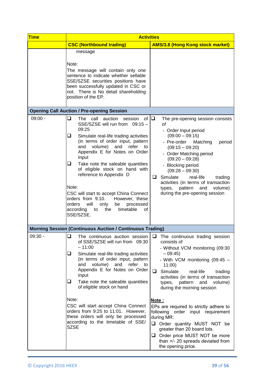| <b>Time</b> | <b>Activities</b>                                                                                                                                                                                                                                                                                                                                                                                                                                                                                                                                                  |                                                                                                                                                                                                                                                                                                                                                                                               |
|-------------|--------------------------------------------------------------------------------------------------------------------------------------------------------------------------------------------------------------------------------------------------------------------------------------------------------------------------------------------------------------------------------------------------------------------------------------------------------------------------------------------------------------------------------------------------------------------|-----------------------------------------------------------------------------------------------------------------------------------------------------------------------------------------------------------------------------------------------------------------------------------------------------------------------------------------------------------------------------------------------|
|             | <b>CSC (Northbound trading)</b>                                                                                                                                                                                                                                                                                                                                                                                                                                                                                                                                    | <b>AMS/3.8 (Hong Kong stock market)</b>                                                                                                                                                                                                                                                                                                                                                       |
|             | message<br>Note:<br>The message will contain only one<br>sentence to indicate whether sellable<br>SSE/SZSE securities positions have<br>been successfully updated in CSC or<br>not. There is No detail shareholding<br>position of the EP.                                                                                                                                                                                                                                                                                                                         |                                                                                                                                                                                                                                                                                                                                                                                               |
|             | <b>Opening Call Auction / Pre-opening Session</b>                                                                                                                                                                                                                                                                                                                                                                                                                                                                                                                  |                                                                                                                                                                                                                                                                                                                                                                                               |
| $09:00 -$   | ❏<br>of $\Box$<br>The call auction<br>session<br>SSE/SZSE will run from 09:15 -<br>09:25<br>⊔<br>Simulate real-life trading activities<br>(in terms of order input, pattern<br>and volume)<br>and<br>refer<br>to<br>Appendix E for Notes on Order<br>Input<br>⊔<br>Take note the saleable quantities<br>of eligible stock on hand with<br>reference to Appendix D<br>Note:<br>CSC will start to accept China Connect<br>orders from 9:10.<br>However, these<br>orders<br>will<br>processed<br>only<br>be<br>according<br>the<br>timetable<br>to<br>οf<br>SSE/SZSE. | The pre-opening session consists<br>of<br>- Order Input period<br>$(09:00 - 09:15)$<br>- Pre-order<br>Matching<br>period<br>$(09:15 - 09:20)$<br>- Order Matching period<br>$(09:20 - 09:28)$<br>- Blocking period<br>$(09:28 - 09:30)$<br>Simulate<br>real-life<br>ப<br>trading<br>activities (in terms of transaction<br>and<br>types, pattern<br>volume)<br>during the pre-opening session |
|             | <b>Morning Session (Continuous Auction / Continuous Trading)</b>                                                                                                                                                                                                                                                                                                                                                                                                                                                                                                   |                                                                                                                                                                                                                                                                                                                                                                                               |
| $09:30 -$   | The continuous auction session<br>⊔<br>of SSE/SZSE will run from 09:30<br>$-11:00$<br>⊔<br>Simulate real-life trading activities<br>(in terms of order input, pattern<br>and volume) and<br>refer<br>to<br>Appendix E for Notes on Order<br>Input<br>Take note the saleable quantities<br>u<br>of eligible stock on hand                                                                                                                                                                                                                                           | □<br>The continuous trading session<br>consists of<br>- Without VCM monitoring (09:30<br>$-09:45$<br>- With VCM monitoring (09:45 -<br>11:00<br>□<br>Simulate<br>real-life<br>trading<br>activities (in terms of transaction<br>and<br>pattern<br>volume)<br>types,<br>during the morning session                                                                                             |
|             | Note:<br>CSC will start accept China Connect<br>orders from 9:25 to 11:01. However,<br>these orders will only be processed<br>according to the timetable of SSE/<br><b>SZSE</b>                                                                                                                                                                                                                                                                                                                                                                                    | Note:<br>EPs are required to strictly adhere to<br>following order input requirement<br>during MR:<br>Order quantity MUST NOT be<br>greater than 20 board lots.<br>Order price MUST NOT be more<br>⊔  <br>than +/- 20 spreads deviated from<br>the opening price.                                                                                                                             |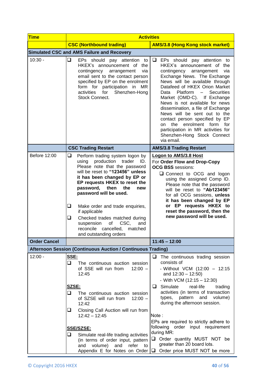| <b>Time</b>         |                                                                                                                                                                                                                                                                                                                                                                                                                                                                              | <b>Activities</b>                                                                                                                                                                                                                                                                                                                                                                                                                                                                                                                               |
|---------------------|------------------------------------------------------------------------------------------------------------------------------------------------------------------------------------------------------------------------------------------------------------------------------------------------------------------------------------------------------------------------------------------------------------------------------------------------------------------------------|-------------------------------------------------------------------------------------------------------------------------------------------------------------------------------------------------------------------------------------------------------------------------------------------------------------------------------------------------------------------------------------------------------------------------------------------------------------------------------------------------------------------------------------------------|
|                     | <b>CSC (Northbound trading)</b>                                                                                                                                                                                                                                                                                                                                                                                                                                              | <b>AMS/3.8 (Hong Kong stock market)</b>                                                                                                                                                                                                                                                                                                                                                                                                                                                                                                         |
|                     | <b>Simulated CSC and AMS Failure and Recovery</b>                                                                                                                                                                                                                                                                                                                                                                                                                            |                                                                                                                                                                                                                                                                                                                                                                                                                                                                                                                                                 |
| $10:30 -$           | ❏<br>EPs should pay attention to<br>HKEX's announcement of the<br>contingency<br>via<br>arrangement<br>email sent to the contact person<br>specified by EP on the enrolment<br>form for participation in MR<br>activities<br>for<br>Shenzhen-Hong<br>Stock Connect.                                                                                                                                                                                                          | $\Box$ EPs should pay attention to<br>HKEX's announcement of the<br>contingency arrangement<br>via<br>Exchange News. The Exchange<br>News will be available through<br>Datafeed of HKEX Orion Market<br><b>Securities</b><br>Data<br>Platform<br>$\sim$<br>Market (OMD-C). If Exchange<br>News is not available for news<br>dissemination, a file of Exchange<br>News will be sent out to the<br>contact person specified by EP<br>on the enrolment form for<br>participation in MR activities for<br>Shenzhen-Hong Stock Connect<br>via email. |
|                     | <b>CSC Trading Restart</b>                                                                                                                                                                                                                                                                                                                                                                                                                                                   | <b>AMS/3.8 Trading Restart</b>                                                                                                                                                                                                                                                                                                                                                                                                                                                                                                                  |
| Before 12:00        | ❏.<br>Perform trading system logon by<br>using production<br>trader<br>ID.<br>Please note that the password<br>will be reset to "123456" unless<br>it has been changed by EP or<br>EP requests HKEX to reset the<br>password, then<br>the<br>new<br>password will be used.<br>❏<br>Make order and trade enquiries,<br>if applicable<br>Checked trades matched during<br>u<br>suspension<br>of<br>CSC,<br>and<br>reconcile<br>cancelled,<br>matched<br>and outstanding orders | <b>Logon to AMS/3.8 Host</b><br>For Order Flow and Drop-Copy<br><b>OCG BSS</b> sessions:<br>□ Connect to OCG and logon<br>using the assigned Comp ID.<br>Please note that the password<br>will be reset to "Ab123456"<br>for all OCG sessions, unless<br>it has been changed by EP<br>or EP requests HKEX to<br>reset the password, then the<br>new password will be used.                                                                                                                                                                      |
| <b>Order Cancel</b> |                                                                                                                                                                                                                                                                                                                                                                                                                                                                              | $11:45 - 12:00$                                                                                                                                                                                                                                                                                                                                                                                                                                                                                                                                 |
|                     | Afternoon Session (Continuous Auction / Continuous Trading)                                                                                                                                                                                                                                                                                                                                                                                                                  |                                                                                                                                                                                                                                                                                                                                                                                                                                                                                                                                                 |
| $12:00 -$           | SSE:<br>⊐<br>The continuous auction session<br>of SSE will run from<br>$12:00 -$<br>12:45                                                                                                                                                                                                                                                                                                                                                                                    | $\Box$ The continuous trading session<br>consists of<br>- Without VCM (12:00 - 12:15<br>and $12:30 - 12:50$ )<br>- With VCM $(12:15 - 12:30)$                                                                                                                                                                                                                                                                                                                                                                                                   |
|                     | SZSE:<br>❏<br>The continuous auction session<br>of SZSE will run from<br>$12:00 -$<br>12:42                                                                                                                                                                                                                                                                                                                                                                                  | $\Box$ Simulate<br>real-life<br>trading<br>activities (in terms of transaction<br>types, pattern and volume)<br>during the afternoon session.                                                                                                                                                                                                                                                                                                                                                                                                   |
|                     | Closing Call Auction will run from<br>u.<br>$12:42 - 12:45$<br><b>SSE/SZSE:</b>                                                                                                                                                                                                                                                                                                                                                                                              | Note:<br>EPs are required to strictly adhere to<br>following order input requirement                                                                                                                                                                                                                                                                                                                                                                                                                                                            |
|                     | ❏<br>Simulate real-life trading activities<br>(in terms of order input, pattern<br>and volume)<br>and<br>refer to<br>Appendix E for Notes on Order                                                                                                                                                                                                                                                                                                                           | during MR:<br>Onder quantity MUST NOT be<br>greater than 20 board lots.<br>$\Box$ Order price MUST NOT be more                                                                                                                                                                                                                                                                                                                                                                                                                                  |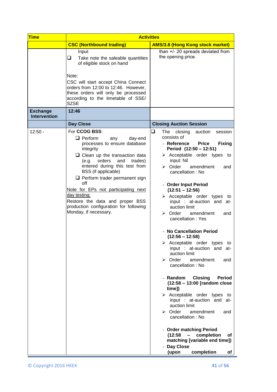| <b>Time</b>                            | <b>Activities</b>                                                                                                                                                                                                                                                                                                                                                                                                                            |                                                                                                                                                                                                                                                                                                                                                                                                                                                                                                                                                                                                                                                                                                                                                                                                                                                                                                                                                                                                                                                                                                             |  |  |  |  |
|----------------------------------------|----------------------------------------------------------------------------------------------------------------------------------------------------------------------------------------------------------------------------------------------------------------------------------------------------------------------------------------------------------------------------------------------------------------------------------------------|-------------------------------------------------------------------------------------------------------------------------------------------------------------------------------------------------------------------------------------------------------------------------------------------------------------------------------------------------------------------------------------------------------------------------------------------------------------------------------------------------------------------------------------------------------------------------------------------------------------------------------------------------------------------------------------------------------------------------------------------------------------------------------------------------------------------------------------------------------------------------------------------------------------------------------------------------------------------------------------------------------------------------------------------------------------------------------------------------------------|--|--|--|--|
|                                        | <b>CSC (Northbound trading)</b>                                                                                                                                                                                                                                                                                                                                                                                                              | <b>AMS/3.8 (Hong Kong stock market)</b>                                                                                                                                                                                                                                                                                                                                                                                                                                                                                                                                                                                                                                                                                                                                                                                                                                                                                                                                                                                                                                                                     |  |  |  |  |
|                                        | Input<br>Take note the saleable quantities<br>⊔<br>of eligible stock on hand<br>Note:<br>CSC will start accept China Connect<br>orders from 12:00 to 12:46. However,<br>these orders will only be processed<br>according to the timetable of SSE/<br><b>SZSE</b>                                                                                                                                                                             | than +/- 20 spreads deviated from<br>the opening price.                                                                                                                                                                                                                                                                                                                                                                                                                                                                                                                                                                                                                                                                                                                                                                                                                                                                                                                                                                                                                                                     |  |  |  |  |
| <b>Exchange</b><br><b>Intervention</b> | 12:46                                                                                                                                                                                                                                                                                                                                                                                                                                        |                                                                                                                                                                                                                                                                                                                                                                                                                                                                                                                                                                                                                                                                                                                                                                                                                                                                                                                                                                                                                                                                                                             |  |  |  |  |
|                                        | Day Close                                                                                                                                                                                                                                                                                                                                                                                                                                    | <b>Closing Auction Session</b>                                                                                                                                                                                                                                                                                                                                                                                                                                                                                                                                                                                                                                                                                                                                                                                                                                                                                                                                                                                                                                                                              |  |  |  |  |
| $12:50 -$                              | For CCOG BSS:<br>$\Box$ Perform<br>day-end<br>any<br>processes to ensure database<br>integrity<br>$\Box$ Clean up the transaction data<br>(e.g. orders<br>and<br>trades)<br>entered during this test from<br>BSS (if applicable)<br>$\Box$ Perform trader permanent sign<br>off<br>Note for EPs not participating next<br>day testing:<br>Restore the data and proper BSS<br>production configuration for following<br>Monday, if necessary. | ❏<br>session<br>The closing<br>auction<br>consists of<br><b>Price</b><br>- Reference<br><b>Fixing</b><br>Period (12:50 - 12:51)<br>$\triangleright$ Acceptable order types to<br>input: Nil<br>$\triangleright$ Order<br>amendment<br>and<br>cancellation: No<br>- Order Input Period<br>$(12:51 - 12:56)$<br>$\triangleright$ Acceptable order types to<br>input : at-auction and at-<br>auction limit<br>$\triangleright$ Order<br>amendment<br>and<br>cancellation: Yes<br>- No Cancellation Period<br>$(12:56 - 12:58)$<br>$\triangleright$ Acceptable order types to<br>input : at-auction and at-<br>auction limit<br>$\triangleright$ Order<br>amendment<br>and<br>cancellation: No<br>- Random<br><b>Closing</b><br><b>Period</b><br>(12:58 - 13:00 [random close<br>time])<br>$\triangleright$ Acceptable order types to<br>input : at-auction and at-<br>auction limit<br>$\triangleright$ Order<br>amendment<br>and<br>cancellation: No<br>- Order matching Period<br>(12:58)<br>completion<br>$\blacksquare$<br>оf<br>matching [variable end time])<br>- Day Close<br>(upon<br>completion<br>of |  |  |  |  |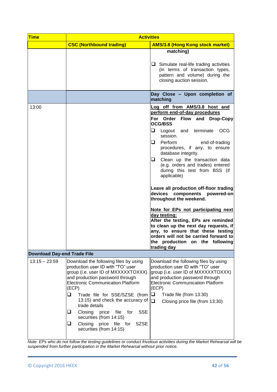| <b>Time</b>                        | <b>Activities</b>                                                                                                                                                                                                                                                                                                                                                                                                                                               |                                                                                                                                                                                                                                                                                                                                                                                                                                                                                                                                                                                                                                                                                                                                                       |  |  |  |
|------------------------------------|-----------------------------------------------------------------------------------------------------------------------------------------------------------------------------------------------------------------------------------------------------------------------------------------------------------------------------------------------------------------------------------------------------------------------------------------------------------------|-------------------------------------------------------------------------------------------------------------------------------------------------------------------------------------------------------------------------------------------------------------------------------------------------------------------------------------------------------------------------------------------------------------------------------------------------------------------------------------------------------------------------------------------------------------------------------------------------------------------------------------------------------------------------------------------------------------------------------------------------------|--|--|--|
|                                    | <b>CSC (Northbound trading)</b>                                                                                                                                                                                                                                                                                                                                                                                                                                 | <b>AMS/3.8 (Hong Kong stock market)</b>                                                                                                                                                                                                                                                                                                                                                                                                                                                                                                                                                                                                                                                                                                               |  |  |  |
|                                    |                                                                                                                                                                                                                                                                                                                                                                                                                                                                 | matching)<br>$\Box$ Simulate real-life trading activities<br>(in terms of transaction types,<br>pattern and volume) during the<br>closing auction session.                                                                                                                                                                                                                                                                                                                                                                                                                                                                                                                                                                                            |  |  |  |
|                                    |                                                                                                                                                                                                                                                                                                                                                                                                                                                                 | Day Close - Upon completion of<br>matching                                                                                                                                                                                                                                                                                                                                                                                                                                                                                                                                                                                                                                                                                                            |  |  |  |
| 13:00                              |                                                                                                                                                                                                                                                                                                                                                                                                                                                                 | Log off from AMS/3.8 host and<br>perform end-of-day procedures<br>For Order Flow and Drop-Copy<br><b>OCG/BSS</b><br>⊔.<br>Logout and terminate<br>OCG<br>session.<br>Perform<br>⊔.<br>end-of-trading<br>procedures, if any, to ensure<br>database integrity.<br>Clean up the transaction data<br>u.<br>(e.g. orders and trades) entered<br>during this test from BSS (if<br>applicable)<br>Leave all production off-floor trading<br>devices components powered-on<br>throughout the weekend.<br>Note for EPs not participating next<br>day testing:<br>After the testing, EPs are reminded<br>to clean up the next day requests, if<br>any, to ensure that these testing<br>orders will not be carried forward to<br>the production on the following |  |  |  |
| <b>Download Day-end Trade File</b> |                                                                                                                                                                                                                                                                                                                                                                                                                                                                 | trading day                                                                                                                                                                                                                                                                                                                                                                                                                                                                                                                                                                                                                                                                                                                                           |  |  |  |
| $13:15 - 23:59$                    | Download the following files by using<br>production user ID with "TO" user<br>group (i.e. user ID of MXXXXXTOXXX)<br>and production password through<br><b>Electronic Communication Platform</b><br>(ECP)<br>Trade file for SSE/SZSE (from<br>⊔<br>13:15) and check the accuracy of<br>trade details<br>file<br>for<br><b>SSE</b><br>u.<br>Closing<br>price<br>securities (from 14:15)<br>Closing price file for<br>⊔<br><b>SZSE</b><br>securities (from 14:15) | Download the following files by using<br>production user ID with "TO" user<br>group (i.e. user ID of MXXXXXTOXXX)<br>and production password through<br><b>Electronic Communication Platform</b><br>(ECP)<br>$\Box$<br>Trade file (from 13:30)<br>$\Box$<br>Closing price file (from 13:30)                                                                                                                                                                                                                                                                                                                                                                                                                                                           |  |  |  |

*Note: EPs who do not follow the testing guidelines or conduct frivolous activities during the Market Rehearsal will be suspended from further participation in the Market Rehearsal without prior notice.*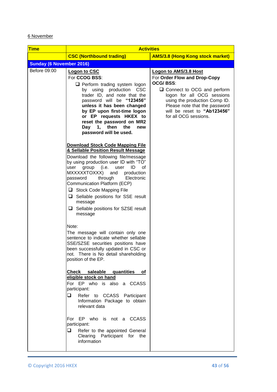## 6 November

| <b>Time</b>                     | <b>Activities</b>                                                                                                                                                                                                                                                                                                                                                                                                                                                                                                                                                |                                                                                                                                                                                                                                                           |  |  |
|---------------------------------|------------------------------------------------------------------------------------------------------------------------------------------------------------------------------------------------------------------------------------------------------------------------------------------------------------------------------------------------------------------------------------------------------------------------------------------------------------------------------------------------------------------------------------------------------------------|-----------------------------------------------------------------------------------------------------------------------------------------------------------------------------------------------------------------------------------------------------------|--|--|
|                                 | <b>CSC (Northbound trading)</b>                                                                                                                                                                                                                                                                                                                                                                                                                                                                                                                                  | <b>AMS/3.8 (Hong Kong stock market)</b>                                                                                                                                                                                                                   |  |  |
| <b>Sunday (6 November 2016)</b> |                                                                                                                                                                                                                                                                                                                                                                                                                                                                                                                                                                  |                                                                                                                                                                                                                                                           |  |  |
| Before 09:00                    | Logon to CSC<br>For CCOG BSS:<br>$\Box$ Perform trading system logon<br>by using production CSC<br>trader ID, and note that the<br>password will be "123456"<br>unless it has been changed<br>by EP upon first-time logon<br>or EP requests HKEX to<br>reset the password on MR2<br>1, then<br>Day<br>the<br>new<br>password will be used.                                                                                                                                                                                                                       | Logon to AMS/3.8 Host<br>For Order Flow and Drop-Copy<br>OCG/BSS:<br>□ Connect to OCG and perform<br>logon for all OCG sessions<br>using the production Comp ID.<br>Please note that the password<br>will be reset to "Ab123456"<br>for all OCG sessions. |  |  |
|                                 | <b>Download Stock Code Mapping File</b><br>& Sellable Position Result Message<br>Download the following file/message<br>by using production user ID with "TO"<br>group (i.e.<br>user<br>ID<br>0f<br>user<br>MXXXXXTOXXX)<br>and<br>production<br>through<br>password<br>Electronic<br>Communication Platform (ECP)<br>Stock Code Mapping File<br>$\Box$ Sellable positions for SSE result<br>message<br>$\Box$ Sellable positions for SZSE result<br>message                                                                                                     |                                                                                                                                                                                                                                                           |  |  |
|                                 | Note:<br>The message will contain only one<br>sentence to indicate whether sellable<br>SSE/SZSE securities positions have<br>been successfully updated in CSC or<br>not. There is No detail shareholding<br>position of the EP.<br>Check saleable quantities of<br>eligible stock on hand<br>For EP who is also a CCASS<br>participant:<br>⊔<br>Refer to CCASS Participant<br>Information Package to obtain<br>relevant data<br>For EP who is not a CCASS<br>participant:<br>o.<br>Refer to the appointed General<br>Clearing Participant for the<br>information |                                                                                                                                                                                                                                                           |  |  |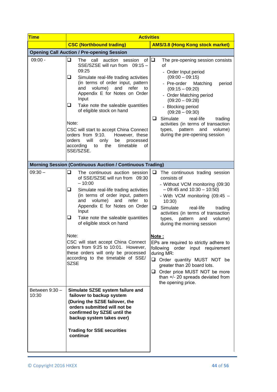| <b>Time</b>             | <b>Activities</b>                                                                                                                                                                                                                                                                                                                                                                                                                                                                                                                  |                                                                                                                                                                                                                                                                                                                                                                                                                                                                                                                                                                                            |  |  |  |  |
|-------------------------|------------------------------------------------------------------------------------------------------------------------------------------------------------------------------------------------------------------------------------------------------------------------------------------------------------------------------------------------------------------------------------------------------------------------------------------------------------------------------------------------------------------------------------|--------------------------------------------------------------------------------------------------------------------------------------------------------------------------------------------------------------------------------------------------------------------------------------------------------------------------------------------------------------------------------------------------------------------------------------------------------------------------------------------------------------------------------------------------------------------------------------------|--|--|--|--|
|                         | <b>CSC (Northbound trading)</b>                                                                                                                                                                                                                                                                                                                                                                                                                                                                                                    | <b>AMS/3.8 (Hong Kong stock market)</b>                                                                                                                                                                                                                                                                                                                                                                                                                                                                                                                                                    |  |  |  |  |
|                         | <b>Opening Call Auction / Pre-opening Session</b>                                                                                                                                                                                                                                                                                                                                                                                                                                                                                  |                                                                                                                                                                                                                                                                                                                                                                                                                                                                                                                                                                                            |  |  |  |  |
| $09:00 -$               | ❏<br>The call<br>auction session<br>of $\Box$<br>SSE/SZSE will run from 09:15 -<br>09:25<br>Simulate real-life trading activities<br>⊔<br>(in terms of order input, pattern<br>and volume)<br>and<br>refer<br>to<br>Appendix E for Notes on Order<br>Input<br>Take note the saleable quantities<br>ப<br>of eligible stock on hand<br>Note:<br>CSC will start to accept China Connect<br>orders from 9:10.<br>However, these<br>orders<br>will<br>only<br>be<br>processed<br>according<br>the<br>timetable<br>to<br>οf<br>SSE/SZSE. | The pre-opening session consists<br>of<br>- Order Input period<br>$(09:00 - 09:15)$<br>- Pre-order<br>Matching<br>period<br>$(09:15 - 09:20)$<br>- Order Matching period<br>$(09:20 - 09:28)$<br>- Blocking period<br>$(09:28 - 09:30)$<br>Simulate<br>❏<br>real-life<br>trading<br>activities (in terms of transaction<br>pattern<br>and<br>volume)<br>types,<br>during the pre-opening session                                                                                                                                                                                           |  |  |  |  |
|                         | <b>Morning Session (Continuous Auction / Continuous Trading)</b>                                                                                                                                                                                                                                                                                                                                                                                                                                                                   |                                                                                                                                                                                                                                                                                                                                                                                                                                                                                                                                                                                            |  |  |  |  |
| $09:30 -$               | ❏<br>The continuous auction session<br>of SSE/SZSE will run from 09:30<br>$-10:00$<br>⊔<br>Simulate real-life trading activities<br>(in terms of order input, pattern<br>volume)<br>and<br>refer<br>and<br>to<br>Appendix E for Notes on Order<br>Input<br>⊔<br>Take note the saleable quantities<br>of eligible stock on hand<br>Note:<br>CSC will start accept China Connect<br>orders from 9:25 to 10:01. However,<br>these orders will only be processed<br>according to the timetable of SSE/<br><b>SZSE</b>                  | $\Box$ The continuous trading session<br>consists of<br>- Without VCM monitoring (09:30<br>$-09:45$ and $10:30 - 10:50$<br>- With VCM monitoring (09:45 -<br>10:30<br>$\Box$<br>Simulate<br>real-life<br>trading<br>activities (in terms of transaction<br>pattern<br>types,<br>and<br>volume)<br>during the morning session<br>Note:<br>EPs are required to strictly adhere to<br>following order input requirement<br>during MR:<br>Order quantity MUST NOT be<br>greater than 20 board lots.<br>Order price MUST NOT be more<br>than +/- 20 spreads deviated from<br>the opening price. |  |  |  |  |
| Between 9:30 -<br>10:30 | Simulate SZSE system failure and<br>failover to backup system<br>(During the SZSE failover, the<br>orders submitted will not be<br>confirmed by SZSE until the<br>backup system takes over)<br><b>Trading for SSE securities</b><br>continue                                                                                                                                                                                                                                                                                       |                                                                                                                                                                                                                                                                                                                                                                                                                                                                                                                                                                                            |  |  |  |  |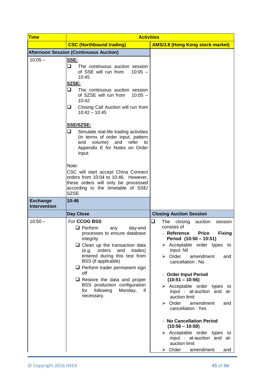| <b>Time</b>                            | <b>Activities</b>                                                                                                                                                                                                                                                                                                                                                                                                   |                                                                                                                                                                                                                                                                                                                                                                                                                                                                               |  |  |  |
|----------------------------------------|---------------------------------------------------------------------------------------------------------------------------------------------------------------------------------------------------------------------------------------------------------------------------------------------------------------------------------------------------------------------------------------------------------------------|-------------------------------------------------------------------------------------------------------------------------------------------------------------------------------------------------------------------------------------------------------------------------------------------------------------------------------------------------------------------------------------------------------------------------------------------------------------------------------|--|--|--|
|                                        | <b>CSC (Northbound trading)</b>                                                                                                                                                                                                                                                                                                                                                                                     | <b>AMS/3.8 (Hong Kong stock market)</b>                                                                                                                                                                                                                                                                                                                                                                                                                                       |  |  |  |
|                                        | <b>Afternoon Session (Continuous Auction)</b>                                                                                                                                                                                                                                                                                                                                                                       |                                                                                                                                                                                                                                                                                                                                                                                                                                                                               |  |  |  |
| $10:05 -$                              | SSE:<br>⊔<br>The continuous auction session<br>of SSE will run from<br>$10:05 -$<br>10:45<br>SZSE:<br>❏<br>The continuous auction session<br>of SZSE will run from<br>$10:05 -$<br>10:42<br>Closing Call Auction will run from<br>⊔<br>$10:42 - 10:45$<br><b>SSE/SZSE:</b>                                                                                                                                          |                                                                                                                                                                                                                                                                                                                                                                                                                                                                               |  |  |  |
|                                        | ⊔<br>Simulate real-life trading activities<br>(in terms of order input, pattern<br>and volume) and<br>refer<br>to<br>Appendix E for Notes on Order<br>Input<br>Note:                                                                                                                                                                                                                                                |                                                                                                                                                                                                                                                                                                                                                                                                                                                                               |  |  |  |
|                                        | CSC will start accept China Connect<br>orders from 10:04 to 10:46. However,<br>these orders will only be processed<br>according to the timetable of SSE/<br><b>SZSE</b>                                                                                                                                                                                                                                             |                                                                                                                                                                                                                                                                                                                                                                                                                                                                               |  |  |  |
| <b>Exchange</b><br><b>Intervention</b> | 10:46                                                                                                                                                                                                                                                                                                                                                                                                               |                                                                                                                                                                                                                                                                                                                                                                                                                                                                               |  |  |  |
|                                        | <b>Day Close</b>                                                                                                                                                                                                                                                                                                                                                                                                    | <b>Closing Auction Session</b>                                                                                                                                                                                                                                                                                                                                                                                                                                                |  |  |  |
| $10:50 -$                              | For <b>CCOG BSS:</b><br>$\Box$ Perform<br>day-end<br>any<br>processes to ensure database<br>integrity<br>$\Box$ Clean up the transaction data<br>orders<br>(e.g.<br>and<br>trades)<br>entered during this test from<br>BSS (if applicable)<br>$\Box$ Perform trader permanent sign<br>off<br>$\Box$ Restore the data and proper<br>BSS production configuration<br>following<br>Monday,<br>for<br>if.<br>necessary. | ❏<br>The<br>closing<br>auction<br>session<br>consists of<br>- Reference<br><b>Price</b><br><b>Fixing</b><br>Period (10:50 - 10:51)<br>$\triangleright$ Acceptable order types to<br>input: Nil<br>$\triangleright$ Order<br>amendment<br>and<br>cancellation: No<br>- Order Input Period<br>$(10:51 - 10:56)$<br>$\triangleright$ Acceptable order types to<br>input : at-auction and at-<br>auction limit<br>$\triangleright$ Order<br>amendment<br>and<br>cancellation: Yes |  |  |  |
|                                        |                                                                                                                                                                                                                                                                                                                                                                                                                     | - No Cancellation Period<br>$(10:56 - 10:58)$<br>$\triangleright$ Acceptable order types to<br>input : at-auction and at-<br>auction limit<br>$\triangleright$ Order<br>amendment<br>and                                                                                                                                                                                                                                                                                      |  |  |  |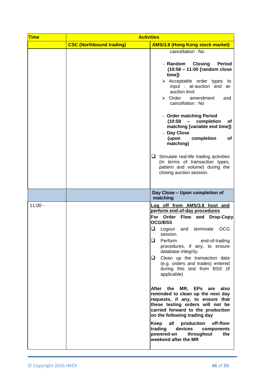| <b>Time</b> | <b>Activities</b>               |                                                                                                                                                                                                                                                                                                                                                                                                                                                                                                                                                                                                                                                                                                                                                                |  |  |  |
|-------------|---------------------------------|----------------------------------------------------------------------------------------------------------------------------------------------------------------------------------------------------------------------------------------------------------------------------------------------------------------------------------------------------------------------------------------------------------------------------------------------------------------------------------------------------------------------------------------------------------------------------------------------------------------------------------------------------------------------------------------------------------------------------------------------------------------|--|--|--|
|             | <b>CSC (Northbound trading)</b> | <b>AMS/3.8 (Hong Kong stock market)</b>                                                                                                                                                                                                                                                                                                                                                                                                                                                                                                                                                                                                                                                                                                                        |  |  |  |
|             |                                 | cancellation: No<br>- Random<br><b>Closing</b><br><b>Period</b><br>(10:58 - 11:00 [random close<br>time])<br>$\triangleright$ Acceptable order types to<br>input : at-auction and at-<br>auction limit<br>$\triangleright$ Order<br>amendment<br>and<br>cancellation: No<br>- Order matching Period<br>(10:58)<br>completion<br>$\sim$ $^{-1}$<br>оf<br>matching [variable end time])<br>- Day Close<br>(upon<br>completion<br>of<br>matching)<br>$\Box$ Simulate real-life trading activities<br>(in terms of transaction types,<br>pattern and volume) during the<br>closing auction session.                                                                                                                                                                |  |  |  |
|             |                                 |                                                                                                                                                                                                                                                                                                                                                                                                                                                                                                                                                                                                                                                                                                                                                                |  |  |  |
|             |                                 | Day Close - Upon completion of<br>matching                                                                                                                                                                                                                                                                                                                                                                                                                                                                                                                                                                                                                                                                                                                     |  |  |  |
| $11:00 -$   |                                 | Log off from AMS/3.8 host and<br>perform end-of-day procedures<br>For Order Flow and Drop-Copy<br><b>OCG/BSS</b><br>Q<br><b>OCG</b><br>Logout<br>terminate<br>and<br>session.<br>Perform<br>ப<br>end-of-trading<br>procedures, if any, to ensure<br>database integrity.<br>Clean up the transaction data<br>⊔.<br>(e.g. orders and trades) entered<br>during this test from BSS (if<br>applicable)<br>After the MR, EPs are<br>also<br>reminded to clean up the next day<br>requests, if any, to ensure that<br>these testing orders will not be<br>carried forward to the production<br>on the following trading day<br>Keep<br>all<br>production<br>off-floor<br>devices<br>trading<br>components<br>powered-on<br>throughout<br>the<br>weekend after the MR |  |  |  |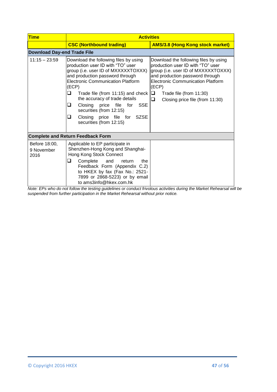| <b>Time</b>                         | <b>Activities</b>                                                                                                                                                                                                                                                                                                                                                                                                       |                                                                                                                                                                                                                                                                                   |  |  |  |
|-------------------------------------|-------------------------------------------------------------------------------------------------------------------------------------------------------------------------------------------------------------------------------------------------------------------------------------------------------------------------------------------------------------------------------------------------------------------------|-----------------------------------------------------------------------------------------------------------------------------------------------------------------------------------------------------------------------------------------------------------------------------------|--|--|--|
|                                     | <b>CSC (Northbound trading)</b>                                                                                                                                                                                                                                                                                                                                                                                         | <b>AMS/3.8 (Hong Kong stock market)</b>                                                                                                                                                                                                                                           |  |  |  |
| <b>Download Day-end Trade File</b>  |                                                                                                                                                                                                                                                                                                                                                                                                                         |                                                                                                                                                                                                                                                                                   |  |  |  |
| $11:15 - 23:59$                     | Download the following files by using<br>production user ID with "TO" user<br>group (i.e. user ID of MXXXXXTOXXX)<br>and production password through<br><b>Electronic Communication Platform</b><br>(ECP)<br>Trade file (from 11:15) and check<br>⊔<br>the accuracy of trade details<br>Closing<br>price file for<br>SSE<br>⊔<br>securities (from 12:15)<br>Closing price file for SZSE<br>⊔<br>securities (from 12:15) | Download the following files by using<br>production user ID with "TO" user<br>group (i.e. user ID of MXXXXXTOXXX)<br>and production password through<br><b>Electronic Communication Platform</b><br>(ECP)<br>❏<br>Trade file (from 11:30)<br>❏<br>Closing price file (from 11:30) |  |  |  |
|                                     | <b>Complete and Return Feedback Form</b>                                                                                                                                                                                                                                                                                                                                                                                |                                                                                                                                                                                                                                                                                   |  |  |  |
| Before 18:00,<br>9 November<br>2016 | Applicable to EP participate in<br>Shenzhen-Hong Kong and Shanghai-<br>Hong Kong Stock Connect<br>⊔<br>Complete<br>the<br>and<br>return<br>Feedback Form (Appendix C.2)<br>to HKEX by fax (Fax No.: 2521-<br>7899 or 2868-5223) or by email<br>to ams3info@hkex.com.hk                                                                                                                                                  |                                                                                                                                                                                                                                                                                   |  |  |  |

*Note: EPs who do not follow the testing guidelines or conduct frivolous activities during the Market Rehearsal will be suspended from further participation in the Market Rehearsal without prior notice.*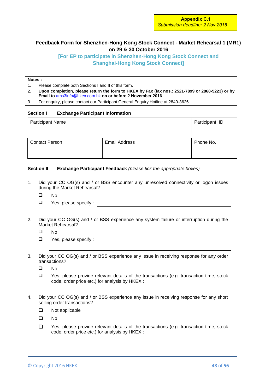## **Feedback Form for Shenzhen-Hong Kong Stock Connect - Market Rehearsal 1 (MR1) on 29 & 30 October 2016**

## **[For EP to participate in Shenzhen-Hong Kong Stock Connect and Shanghai-Hong Kong Stock Connect]**

## **Notes :**

- 1. Please complete both Sections I and II of this form.
- 2. **Upon completion, please return the form to HKEX by Fax (fax nos.: 2521-7899 or 2868-5223) or by Email to** [ams3info@hkex.com.hk](mailto:OrionCentralGateway@hkex.com.hk) **on or before 2 November 2016**
- 3. For enquiry, please contact our Participant General Enquiry Hotline at 2840-3626

#### **Section I Exchange Participant Information**

| <b>Participant Name</b> | Participant ID       |           |
|-------------------------|----------------------|-----------|
| <b>Contact Person</b>   | <b>Email Address</b> | Phone No. |

#### **Section II Exchange Participant Feedback** *(please tick the appropriate boxes)*

| ❏<br>❏      | <b>No</b><br>Yes, please specify :<br>Did your CC OG(s) and / or BSS experience any system failure or interruption during the                                                                                                                              |
|-------------|------------------------------------------------------------------------------------------------------------------------------------------------------------------------------------------------------------------------------------------------------------|
|             |                                                                                                                                                                                                                                                            |
|             |                                                                                                                                                                                                                                                            |
|             | Market Rehearsal?                                                                                                                                                                                                                                          |
| $\Box$      | <b>No</b>                                                                                                                                                                                                                                                  |
| ❏           | Yes, please specify :                                                                                                                                                                                                                                      |
| ❏<br>$\Box$ | Did your CC OG(s) and / or BSS experience any issue in receiving response for any order<br>transactions?<br>No<br>Yes, please provide relevant details of the transactions (e.g. transaction time, stock<br>code, order price etc.) for analysis by HKEX : |
|             | Did your CC OG(s) and / or BSS experience any issue in receiving response for any short<br>selling order transactions?                                                                                                                                     |
| □           | Not applicable                                                                                                                                                                                                                                             |
| $\Box$      | No                                                                                                                                                                                                                                                         |
| □           | Yes, please provide relevant details of the transactions (e.g. transaction time, stock<br>code, order price etc.) for analysis by HKEX :                                                                                                                   |
|             |                                                                                                                                                                                                                                                            |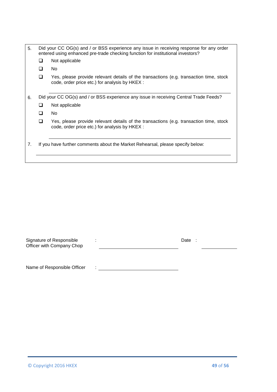| 5. |                          | Did your CC OG(s) and / or BSS experience any issue in receiving response for any order<br>entered using enhanced pre-trade checking function for institutional investors? |  |  |  |
|----|--------------------------|----------------------------------------------------------------------------------------------------------------------------------------------------------------------------|--|--|--|
|    | Not applicable<br>$\Box$ |                                                                                                                                                                            |  |  |  |
|    | l 1                      | No.                                                                                                                                                                        |  |  |  |
|    | ∩                        | Yes, please provide relevant details of the transactions (e.g. transaction time, stock<br>code, order price etc.) for analysis by HKEX :                                   |  |  |  |
| 6. |                          | Did your CC OG(s) and / or BSS experience any issue in receiving Central Trade Feeds?                                                                                      |  |  |  |
|    | ப                        | Not applicable                                                                                                                                                             |  |  |  |
|    | ∩                        | No.                                                                                                                                                                        |  |  |  |
|    | ∩                        | Yes, please provide relevant details of the transactions (e.g. transaction time, stock<br>code, order price etc.) for analysis by HKEX :                                   |  |  |  |
| 7. |                          | If you have further comments about the Market Rehearsal, please specify below:                                                                                             |  |  |  |

| Signature of Responsible<br>Officer with Company Chop |  | Date |  |  |
|-------------------------------------------------------|--|------|--|--|
|                                                       |  |      |  |  |

Name of Responsible Officer :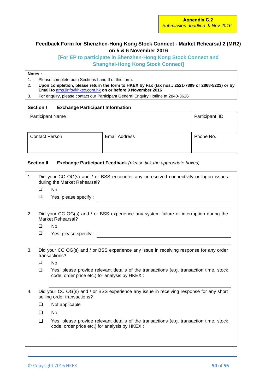## **Feedback Form for Shenzhen-Hong Kong Stock Connect - Market Rehearsal 2 (MR2) on 5 & 6 November 2016**

**[For EP to participate in Shenzhen-Hong Kong Stock Connect and Shanghai-Hong Kong Stock Connect]**

## **Notes :**

- 1. Please complete both Sections I and II of this form.
- 2. **Upon completion, please return the form to HKEX by Fax (fax nos.: 2521-7899 or 2868-5223) or by Email to** [ams3info@hkex.com.hk](mailto:OrionCentralGateway@hkex.com.hk) **on or before 9 November 2016**
- 3. For enquiry, please contact our Participant General Enquiry Hotline at 2840-3626

#### **Section I Exchange Participant Information**

| <b>Participant Name</b> | Participant ID       |           |
|-------------------------|----------------------|-----------|
| <b>Contact Person</b>   | <b>Email Address</b> | Phone No. |

#### **Section II Exchange Participant Feedback** *(please tick the appropriate boxes)*

| 1. |        | Did your CC OG(s) and / or BSS encounter any unresolved connectivity or logon issues<br>during the Market Rehearsal?                     |
|----|--------|------------------------------------------------------------------------------------------------------------------------------------------|
|    | □      | <b>No</b>                                                                                                                                |
|    | $\Box$ | Yes, please specify:                                                                                                                     |
|    |        |                                                                                                                                          |
| 2. |        | Did your CC OG(s) and / or BSS experience any system failure or interruption during the<br>Market Rehearsal?                             |
|    | $\Box$ | <b>No</b>                                                                                                                                |
|    | $\Box$ | Yes, please specify:                                                                                                                     |
|    |        |                                                                                                                                          |
| 3. |        | Did your CC OG(s) and / or BSS experience any issue in receiving response for any order<br>transactions?                                 |
|    | ❏      | No                                                                                                                                       |
|    | □      | Yes, please provide relevant details of the transactions (e.g. transaction time, stock<br>code, order price etc.) for analysis by HKEX : |
| 4. |        | Did your CC OG(s) and / or BSS experience any issue in receiving response for any short<br>selling order transactions?                   |
|    | ◻      | Not applicable                                                                                                                           |
|    | $\Box$ | No                                                                                                                                       |
|    | $\Box$ | Yes, please provide relevant details of the transactions (e.g. transaction time, stock<br>code, order price etc.) for analysis by HKEX : |
|    |        |                                                                                                                                          |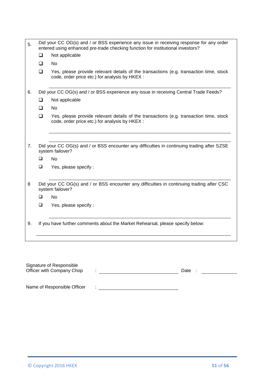| 5. |                  | Did your CC OG(s) and / or BSS experience any issue in receiving response for any order<br>entered using enhanced pre-trade checking function for institutional investors? |
|----|------------------|----------------------------------------------------------------------------------------------------------------------------------------------------------------------------|
|    | $\Box$           | Not applicable                                                                                                                                                             |
|    | $\Box$           | <b>No</b>                                                                                                                                                                  |
|    | $\Box$           | Yes, please provide relevant details of the transactions (e.g. transaction time, stock<br>code, order price etc.) for analysis by HKEX :                                   |
| 6. |                  | Did your CC OG(s) and / or BSS experience any issue in receiving Central Trade Feeds?                                                                                      |
|    | $\Box$           | Not applicable                                                                                                                                                             |
|    | <b>□</b>         | No                                                                                                                                                                         |
|    | $\Box$           | Yes, please provide relevant details of the transactions (e.g. transaction time, stock<br>code, order price etc.) for analysis by HKEX :                                   |
| 7. | $\Box$<br>$\Box$ | Did your CC OG(s) and / or BSS encounter any difficulties in continuing trading after SZSE<br>system failover?<br><b>No</b><br>Yes, please specify:                        |
|    |                  |                                                                                                                                                                            |
| 8  |                  | Did your CC OG(s) and / or BSS encounter any difficulties in continuing trading after CSC<br>system failover?                                                              |
|    | $\Box$           | <b>No</b>                                                                                                                                                                  |
|    | $\Box$           | Yes, please specify:                                                                                                                                                       |
| 9. |                  | If you have further comments about the Market Rehearsal, please specify below:                                                                                             |

| Signature of Responsible<br>Officer with Company Chop |  | Date |  |
|-------------------------------------------------------|--|------|--|
| Name of Responsible Officer                           |  |      |  |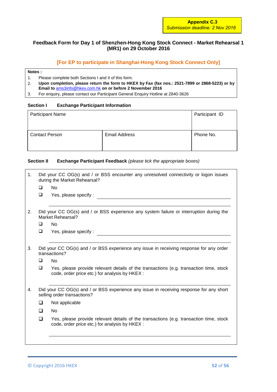## **Feedback Form for Day 1 of Shenzhen-Hong Kong Stock Connect - Market Rehearsal 1 (MR1) on 29 October 2016**

## **[For EP to participate in Shanghai-Hong Kong Stock Connect Only]**

#### **Notes :**

- 
- 1. Please complete both Sections I and II of this form.<br>2. Upon completion, please return the form to HKI 2. **Upon completion, please return the form to HKEX by Fax (fax nos.: 2521-7899 or 2868-5223) or by Email to** [ams3info@hkex.com.hk](mailto:OrionCentralGateway@hkex.com.hk) **on or before 2 November 2016**
- 3. For enquiry, please contact our Participant General Enquiry Hotline at 2840-3626

#### **Section I Exchange Participant Information**

| <b>Participant Name</b> |                      | Participant ID |
|-------------------------|----------------------|----------------|
| <b>Contact Person</b>   | <b>Email Address</b> | Phone No.      |

## **Section II Exchange Participant Feedback** *(please tick the appropriate boxes)*

| 1. |        | Did your CC OG(s) and / or BSS encounter any unresolved connectivity or logon issues<br>during the Market Rehearsal?                     |
|----|--------|------------------------------------------------------------------------------------------------------------------------------------------|
|    | □      | <b>No</b>                                                                                                                                |
|    | $\Box$ | Yes, please specify:                                                                                                                     |
| 2. |        | Did your CC OG(s) and / or BSS experience any system failure or interruption during the<br>Market Rehearsal?                             |
|    | □      | N <sub>0</sub>                                                                                                                           |
|    | $\Box$ | Yes, please specify:                                                                                                                     |
|    |        |                                                                                                                                          |
| 3. |        | Did your CC OG(s) and / or BSS experience any issue in receiving response for any order<br>transactions?                                 |
|    | $\Box$ | <b>No</b>                                                                                                                                |
|    | $\Box$ | Yes, please provide relevant details of the transactions (e.g. transaction time, stock<br>code, order price etc.) for analysis by HKEX : |
| 4. |        | Did your CC OG(s) and / or BSS experience any issue in receiving response for any short<br>selling order transactions?                   |
|    | $\Box$ | Not applicable                                                                                                                           |
|    | $\Box$ | No.                                                                                                                                      |
|    | $\Box$ | Yes, please provide relevant details of the transactions (e.g. transaction time, stock<br>code, order price etc.) for analysis by HKEX : |
|    |        |                                                                                                                                          |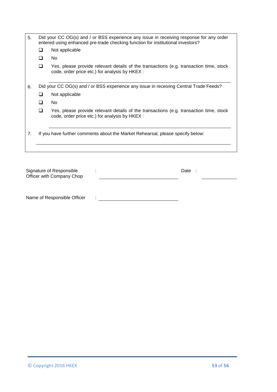| 5. | Did your CC OG(s) and / or BSS experience any issue in receiving response for any order<br>entered using enhanced pre-trade checking function for institutional investors? |                                                                                                                                          |  |  |  |
|----|----------------------------------------------------------------------------------------------------------------------------------------------------------------------------|------------------------------------------------------------------------------------------------------------------------------------------|--|--|--|
|    | n                                                                                                                                                                          | Not applicable                                                                                                                           |  |  |  |
|    | n                                                                                                                                                                          | No.                                                                                                                                      |  |  |  |
|    | $\Box$                                                                                                                                                                     | Yes, please provide relevant details of the transactions (e.g. transaction time, stock<br>code, order price etc.) for analysis by HKEX : |  |  |  |
|    |                                                                                                                                                                            |                                                                                                                                          |  |  |  |
| 6. |                                                                                                                                                                            | Did your CC OG(s) and / or BSS experience any issue in receiving Central Trade Feeds?                                                    |  |  |  |
|    | □                                                                                                                                                                          | Not applicable                                                                                                                           |  |  |  |
|    | П                                                                                                                                                                          | No.                                                                                                                                      |  |  |  |
|    | <b>□</b>                                                                                                                                                                   | Yes, please provide relevant details of the transactions (e.g. transaction time, stock<br>code, order price etc.) for analysis by HKEX : |  |  |  |
| 7. |                                                                                                                                                                            | If you have further comments about the Market Rehearsal, please specify below:                                                           |  |  |  |

| Signature of Responsible<br>Officer with Company Chop |   | Date |  |
|-------------------------------------------------------|---|------|--|
|                                                       |   |      |  |
| Name of Responsible Officer                           | ٠ |      |  |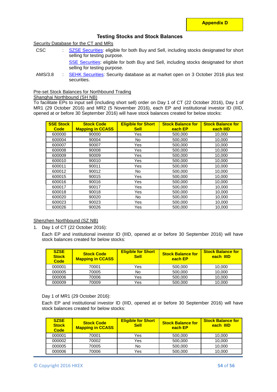$\overline{\phantom{a}}$ 

## **Testing Stocks and Stock Balances**

Security Database for the CT and MRs

CSC [SZSE Securities:](http://www.hkex.com.hk/eng/market/sec_tradinfra/chinaconnect/Documents/Testing%20Stock%20List%20(CSC%20SZ).xlsx) eligible for both Buy and Sell, including stocks designated for short selling for testing purpose.

SSE [Securities:](http://www.hkex.com.hk/eng/market/sec_tradinfra/chinaconnect/Documents/Testing%20Stock%20List%20(CSC%20SH).xlsx) eligible for both Buy and Sell, including stocks designated for short selling for testing purpose.

AMS/3.8 : [SEHK Securities:](http://www.hkex.com.hk/eng/market/sec_tradinfra/chinaconnect/Documents/Testing%20Stock%20List%20(AMS).xlsx) Security database as at market open on 3 October 2016 plus test securities.

#### Pre-set Stock Balances for Northbound Trading

Shanghai Northbound (SH NB)

To facilitate EPs to input sell (including short sell) order on Day 1 of CT (22 October 2016), Day 1 of MR1 (29 October 2016) and MR2 (5 November 2016), each EP and institutional investor ID (IIID, opened at or before 30 September 2016) will have stock balances created for below stocks:

| <b>SSE Stock</b><br><b>Code</b> | <b>Stock Code</b><br><b>Mapping in CCASS</b> | <b>Eligible for Short</b><br><b>Sell</b> | <b>Stock Balance for</b><br>each EP | <b>Stock Balance for</b><br>each IIID |
|---------------------------------|----------------------------------------------|------------------------------------------|-------------------------------------|---------------------------------------|
| 600000                          | 90000                                        | Yes                                      | 500,000                             | 10,000                                |
| 600004                          | 90004                                        | No.                                      | 500,000                             | 10.000                                |
| 600007                          | 90007                                        | <b>Yes</b>                               | 500,000                             | 10,000                                |
| 600008                          | 90008                                        | Yes                                      | 500,000                             | 10,000                                |
| 600009                          | 90009                                        | Yes                                      | 500,000                             | 10,000                                |
| 600010                          | 90010                                        | <b>Yes</b>                               | 500,000                             | 10,000                                |
| 600011                          | 90011                                        | <b>Yes</b>                               | 500.000                             | 10.000                                |
| 600012                          | 90012                                        | <b>No</b>                                | 500,000                             | 10,000                                |
| 600015                          | 90015                                        | Yes                                      | 500.000                             | 10,000                                |
| 600016                          | 90016                                        | <b>Yes</b>                               | 500.000                             | 10.000                                |
| 600017                          | 90017                                        | Yes                                      | 500,000                             | 10.000                                |
| 600018                          | 90018                                        | Yes                                      | 500.000                             | 10.000                                |
| 600020                          | 90020                                        | No.                                      | 500,000                             | 10.000                                |
| 600023                          | 90023                                        | Yes                                      | 500,000                             | 10,000                                |
| 600026                          | 90026                                        | Yes                                      | 500.000                             | 10.000                                |

## Shenzhen Northbound (SZ NB)

1. Day 1 of CT (22 October 2016):

Each EP and institutional investor ID (IIID, opened at or before 30 September 2016) will have stock balances created for below stocks:

| <b>SZSE</b><br><b>Stock</b><br>Code | <b>Stock Code</b><br><b>Mapping in CCASS</b> | <b>Eligible for Short</b><br><b>Sell</b> | <b>Stock Balance for</b><br>each EP | <b>Stock Balance for</b><br>each IIID |
|-------------------------------------|----------------------------------------------|------------------------------------------|-------------------------------------|---------------------------------------|
| 000001                              | 70001                                        | Yes                                      | 500,000                             | 10.000                                |
| 000005                              | 70005                                        | No                                       | 500,000                             | 10.000                                |
| 000006                              | 70006                                        | Yes                                      | 500,000                             | 10.000                                |
| 000009                              | 70009                                        | Yes                                      | 500,000                             | 10.000                                |

Day 1 of MR1 (29 October 2016):

Each EP and institutional investor ID (IIID, opened at or before 30 September 2016) will have stock balances created for below stocks:

| <b>SZSE</b><br><b>Stock</b><br><b>Code</b> | <b>Stock Code</b><br><b>Mapping in CCASS</b> | <b>Eligible for Short</b><br><b>Sell</b> | <b>Stock Balance for</b><br>each EP | <b>Stock Balance for</b><br>each IIID |
|--------------------------------------------|----------------------------------------------|------------------------------------------|-------------------------------------|---------------------------------------|
| 000001                                     | 70001                                        | Yes                                      | 500,000                             | 10.000                                |
| 000002                                     | 70002                                        | Yes                                      | 500,000                             | 10.000                                |
| 000005                                     | 70005                                        | No                                       | 500,000                             | 10.000                                |
| 000006                                     | 70006                                        | Yes                                      | 500,000                             | 10.000                                |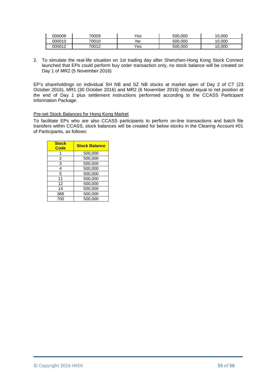| 000009 | 70009 | Yes | 500,000 | 0.000 |
|--------|-------|-----|---------|-------|
| 000010 | 70010 | No  | 500,000 | 0.000 |
| 000012 | 70012 | Yes | 500,000 | 0.000 |

2. To simulate the real-life situation on 1st trading day after Shenzhen-Hong Kong Stock Connect launched that EPs could perform buy order transaction only, no stock balance will be created on Day 1 of MR2 (5 November 2016)

EP's shareholdings on individual SH NB and SZ NB stocks at market open of Day 2 of CT (23 October 2016), MR1 (30 October 2016) and MR2 (6 November 2016) should equal to net position at the end of Day 1 plus settlement instructions performed according to the CCASS Participant Information Package.

#### Pre-set Stock Balances for Hong Kong Market

To facilitate EPs who are also CCASS participants to perform on-line transactions and batch file transfers within CCASS, stock balances will be created for below stocks in the Clearing Account #01 of Participants, as follows:

| <b>Stock</b><br>Code | <b>Stock Balance</b> |
|----------------------|----------------------|
|                      | 500,000              |
| 2                    | 500,000              |
| 3                    | 500,000              |
| 4                    | 500,000              |
| 5                    | 500,000              |
| 11                   | 500,000              |
| 12                   | 500,000              |
| 14                   | 500,000              |
| 388                  | 500,000              |
| 700                  | 500.000              |